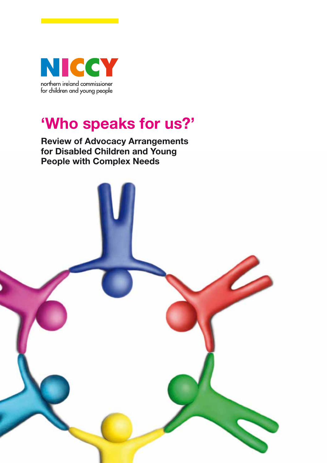

# **'Who speaks for us?'**

**Review of Advocacy Arrangements for Disabled Children and Young People with Complex Needs**

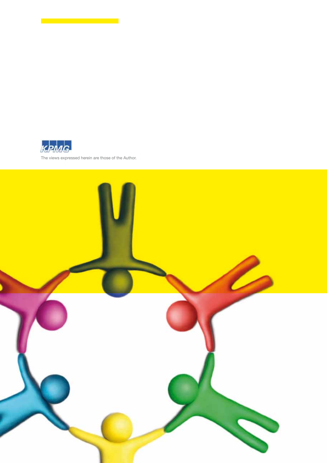

The views expressed herein are those of the Author.

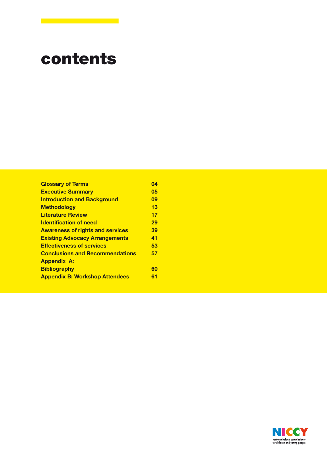# **contents**

and the control of the control of the

| <b>Glossary of Terms</b>                | 04 |
|-----------------------------------------|----|
| <b>Executive Summary</b>                | 05 |
| <b>Introduction and Background</b>      | 09 |
| <b>Methodology</b>                      | 13 |
| <b>Literature Review</b>                | 17 |
| <b>Identification of need</b>           | 29 |
| <b>Awareness of rights and services</b> | 39 |
| <b>Existing Advocacy Arrangements</b>   | 41 |
| <b>Effectiveness of services</b>        | 53 |
| <b>Conclusions and Recommendations</b>  | 57 |
| <b>Appendix A:</b>                      |    |
| <b>Bibliography</b>                     | 60 |
| <b>Appendix B: Workshop Attendees</b>   | 61 |

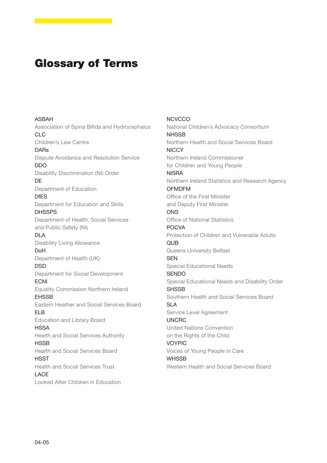## **Glossary of Terms**

#### ASBAH

Association of Spina Bifida and Hydrocephalus CLC Children's Law Centre DARs Dispute Avoidance and Resolution Service DDO Disability Discrimination (NI) Order DE Department of Education DfES Department for Education and Skills **DHSSPS** Department of Health, Social Services and Public Safety (NI) DLA Disability Living Allowance DoH Department of Health (UK) **DSD** Department for Social Development ECNI Equality Commission Northern Ireland EHSSB Eastern Heather and Social Services Board ELB Education and Library Board **HSSA** Health and Social Services Authority **HSSB** Health and Social Services Board **HSST** Health and Social Services Trust LACE Looked After Children in Education

**NCVCCO** National Children's Advocacy Consortium **NHSSB** Northern Health and Social Services Board **NICCY** Northern Ireland Commissioner for Children and Young People **NISRA** Northern Ireland Statistics and Research Agency OFMDFM Office of the First Minister and Deputy First Minister **ONS** Office of National Statistics POCVA Protection of Children and Vulnerable Adults QUB Queens University Belfast **SFN** Special Educational Needs **SENDO** Special Educational Needs and Disability Order **SHSSB** Southern Health and Social Services Board SLA Service Level Agreement UNCRC United Nations Convention on the Rights of the Child VOYPIC Voices of Young People in Care **WHSSB** Western Health and Social Services Board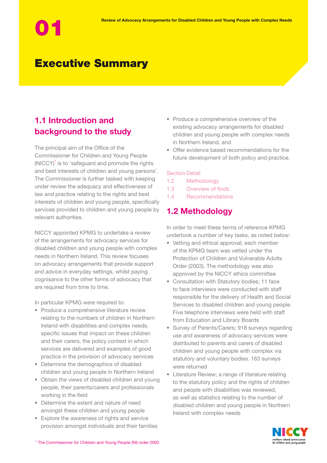## **Executive Summary**

## **1.1 Introduction and background to the study**

The principal aim of the Office of the Commissioner for Children and Young People  $(NICCY)<sup>1</sup>$  is to 'safeguard and promote the rights and best interests of children and young persons'. The Commissioner is further tasked with keeping under review the adequacy and effectiveness of law and practice relating to the rights and best interests of children and young people, specifically services provided to children and young people by relevant authorities.

NICCY appointed KPMG to undertake a review of the arrangements for advocacy services for disabled children and young people with complex needs in Northern Ireland. This review focuses on advocacy arrangements that provide support and advice in everyday settings, whilst paying cognisance to the other forms of advocacy that are required from time to time.

In particular KPMG were required to:

- Produce a comprehensive literature review relating to the numbers of children in Northern Ireland with disabilities and complex needs, specific issues that impact on these children and their carers, the policy context in which services are delivered and examples of good practice in the provision of advocacy services
- Determine the demographics of disabled children and young people in Northern Ireland
- Obtain the views of disabled children and young people, their parents/carers and professionals working in the field
- Determine the extent and nature of need amongst these children and young people
- Explore the awareness of rights and service provision amongst individuals and their families
- Produce a comprehensive overview of the existing advocacy arrangements for disabled children and young people with complex needs in Northern Ireland, and
- Offer evidence based recommendations for the future development of both policy and practice.

#### Section Detail

- 1.2 Methodology
- 1.3 Overview of finds
- 1.4 Recommendations

## **1.2 Methodology**

In order to meet these terms of reference KPMG undertook a number of key tasks, as noted below:

- Vetting and ethical approval; each member of the KPMG team was vetted under the Protection of Children and Vulnerable Adults Order (2003). The methodology was also approved by the NICCY ethics committee
- Consultation with Statutory bodies; 11 face to face interviews were conducted with staff responsible for the delivery of Health and Social Services to disabled children and young people. Five telephone interviews were held with staff from Education and Library Boards
- Survey of Parents/Carers; 918 surveys regarding use and awareness of advocacy services were distributed to parents and carers of disabled children and young people with complex via statutory and voluntary bodies. 163 surveys were returned
- Literature Review; a range of literature relating to the statutory policy and the rights of children and people with disabilities was reviewed, as well as statistics relating to the number of disabled children and young people in Northern Ireland with complex needs

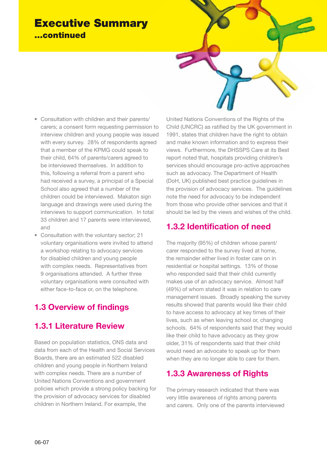## **Executive Summary ...continued**

- Consultation with children and their parents/ carers; a consent form requesting permission to interview children and young people was issued with every survey. 28% of respondents agreed that a member of the KPMG could speak to their child, 64% of parents/carers agreed to be interviewed themselves. In addition to this, following a referral from a parent who had received a survey, a principal of a Special School also agreed that a number of the children could be interviewed. Makaton sign language and drawings were used during the interviews to support communication. In total 33 children and 17 parents were interviewed, and
- Consultation with the voluntary sector; 21 voluntary organisations were invited to attend a workshop relating to advocacy services for disabled children and young people with complex needs. Representatives from 9 organisations attended. A further three voluntary organisations were consulted with either face-to-face or, on the telephone.

## **1.3 Overview of findings**

## **1.3.1 Literature Review**

Based on population statistics, ONS data and data from each of the Health and Social Services Boards, there are an estimated 522 disabled children and young people in Northern Ireland with complex needs. There are a number of United Nations Conventions and government policies which provide a strong policy backing for the provision of advocacy services for disabled children in Northern Ireland. For example, the

United Nations Conventions of the Rights of the Child (UNCRC) as ratified by the UK government in 1991, states that children have the right to obtain and make known information and to express their views. Furthermore, the DHSSPS Care at its Best report noted that, hospitals providing children's services should encourage pro-active approaches such as advocacy. The Department of Health (DoH, UK) published best practice guidelines in the provision of advocacy services. The guidelines note the need for advocacy to be independent from those who provide other services and that it should be led by the views and wishes of the child.

## **1.3.2 Identification of need**

The majority (95%) of children whose parent/ carer responded to the survey lived at home, the remainder either lived in foster care on in residential or hospital settings. 13% of those who responded said that their child currently makes use of an advocacy service. Almost half (49%) of whom stated it was in relation to care management issues. Broadly speaking the survey results showed that parents would like their child to have access to advocacy at key times of their lives, such as when leaving school or, changing schools. 64% of respondents said that they would like their child to have advocacy as they grow older, 31% of respondents said that their child would need an advocate to speak up for them when they are no longer able to care for them.

## **1.3.3 Awareness of Rights**

The primary research indicated that there was very little awareness of rights among parents and carers. Only one of the parents interviewed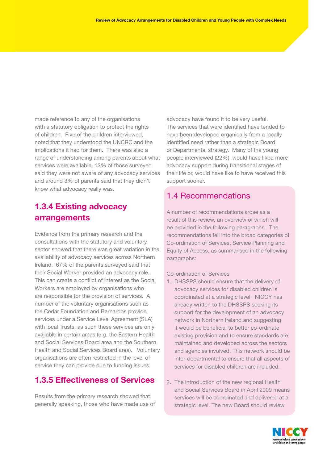made reference to any of the organisations with a statutory obligation to protect the rights of children. Five of the children interviewed, noted that they understood the UNCRC and the implications it had for them. There was also a range of understanding among parents about what services were available, 12% of those surveyed said they were not aware of any advocacy services and around 3% of parents said that they didn't know what advocacy really was.

## **1.3.4 Existing advocacy arrangements**

Evidence from the primary research and the consultations with the statutory and voluntary sector showed that there was great variation in the availability of advocacy services across Northern Ireland. 67% of the parents surveyed said that their Social Worker provided an advocacy role. This can create a conflict of interest as the Social Workers are employed by organisations who are responsible for the provision of services. A number of the voluntary organisations such as the Cedar Foundation and Barnardos provide services under a Service Level Agreement (SLA) with local Trusts, as such these services are only available in certain areas (e.g. the Eastern Health and Social Services Board area and the Southern Health and Social Services Board area). Voluntary organisations are often restricted in the level of service they can provide due to funding issues.

## **1.3.5 Effectiveness of Services**

Results from the primary research showed that generally speaking, those who have made use of

advocacy have found it to be very useful. The services that were identified have tended to have been developed organically from a locally identified need rather than a strategic Board or Departmental strategy. Many of the young people interviewed (22%), would have liked more advocacy support during transitional stages of their life or, would have like to have received this support sooner.

## 1.4 Recommendations

A number of recommendations arose as a result of this review, an overview of which will be provided in the following paragraphs. The recommendations fell into the broad categories of Co-ordination of Services, Service Planning and Equity of Access, as summarised in the following paragraphs:

Co-ordination of Services

- 1. DHSSPS should ensure that the delivery of advocacy services for disabled children is coordinated at a strategic level. NICCY has already written to the DHSSPS seeking its support for the development of an advocacy network in Northern Ireland and suggesting it would be beneficial to better co-ordinate existing provision and to ensure standards are maintained and developed across the sectors and agencies involved. This network should be inter-departmental to ensure that all aspects of services for disabled children are included.
- 2. The introduction of the new regional Health and Social Services Board in April 2009 means services will be coordinated and delivered at a strategic level. The new Board should review

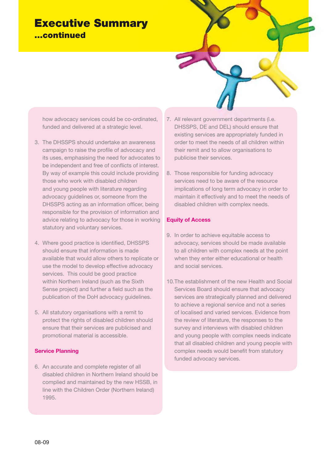## **Executive Summary ...continued**

how advocacy services could be co-ordinated, funded and delivered at a strategic level.

- 3. The DHSSPS should undertake an awareness campaign to raise the profile of advocacy and its uses, emphasising the need for advocates to be independent and free of conflicts of interest. By way of example this could include providing those who work with disabled children and young people with literature regarding advocacy guidelines or, someone from the DHSSPS acting as an information officer, being responsible for the provision of information and advice relating to advocacy for those in working statutory and voluntary services.
- 4. Where good practice is identified, DHSSPS should ensure that information is made available that would allow others to replicate or use the model to develop effective advocacy services. This could be good practice within Northern Ireland (such as the Sixth Sense project) and further a field such as the publication of the DoH advocacy guidelines.
- 5. All statutory organisations with a remit to protect the rights of disabled children should ensure that their services are publicised and promotional material is accessible.

#### **Service Planning**

6. An accurate and complete register of all disabled children in Northern Ireland should be complied and maintained by the new HSSB, in line with the Children Order (Northern Ireland) 1995.

- 7. All relevant government departments (i.e. DHSSPS, DE and DEL) should ensure that existing services are appropriately funded in order to meet the needs of all children within their remit and to allow organisations to publicise their services.
- 8. Those responsible for funding advocacy services need to be aware of the resource implications of long term advocacy in order to maintain it effectively and to meet the needs of disabled children with complex needs.

#### **Equity of Access**

- 9. In order to achieve equitable access to advocacy, services should be made available to all children with complex needs at the point when they enter either educational or health and social services.
- 10. The establishment of the new Health and Social Services Board should ensure that advocacy services are strategically planned and delivered to achieve a regional service and not a series of localised and varied services. Evidence from the review of literature, the responses to the survey and interviews with disabled children and young people with complex needs indicate that all disabled children and young people with complex needs would benefit from statutory funded advocacy services.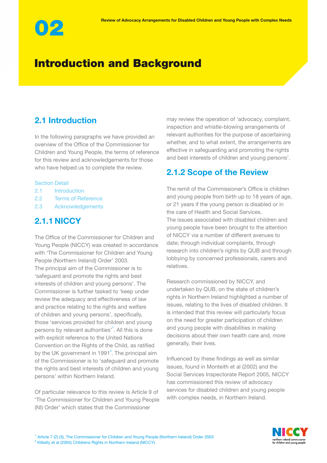

## **Introduction and Background**

## **2.1 Introduction**

In the following paragraphs we have provided an overview of the Office of the Commissioner for Children and Young People, the terms of reference for this review and acknowledgements for those who have helped us to complete the review.

#### Section Detail

- 2.1 Introduction
- 2.2 Terms of Reference
- 2.3 Acknowledgements

## **2.1.1 NICCY**

The Office of the Commissioner for Children and Young People (NICCY) was created in accordance with 'The Commissioner for Children and Young People (Northern Ireland) Order' 2003. The principal aim of the Commissioner is to 'safeguard and promote the rights and best interests of children and young persons'. The Commissioner is further tasked to 'keep under review the adequacy and effectiveness of law and practice relating to the rights and welfare of children and young persons', specifically, those 'services provided for children and young persons by relevant authorities'<sup>1</sup>. All this is done with explicit reference to the United Nations Convention on the Rights of the Child, as ratified by the UK government in 1991<sup>2</sup>. The principal aim of the Commissioner is to 'safeguard and promote the rights and best interests of children and young persons' within Northern Ireland.

Of particular relevance to this review is Article 9 of 'The Commissioner for Children and Young People (NI) Order' which states that the Commissioner

may review the operation of 'advocacy, complaint, inspection and whistle-blowing arrangements of relevant authorities for the purpose of ascertaining whether, and to what extent, the arrangements are effective in safeguarding and promoting the rights and best interests of children and young persons'.

## **2.1.2 Scope of the Review**

The remit of the Commissioner's Office is children and young people from birth up to 18 years of age, or 21 years if the young person is disabled or in the care of Health and Social Services. The issues associated with disabled children and young people have been brought to the attention of NICCY via a number of different avenues to date; through individual complaints, through research into children's rights by QUB and through lobbying by concerned professionals, carers and relatives.

Research commissioned by NICCY, and undertaken by QUB, on the state of children's rights in Northern Ireland highlighted a number of issues, relating to the lives of disabled children. It is intended that this review will particularly focus on the need for greater participation of children and young people with disabilities in making decisions about their own health care and, more generally, their lives.

Influenced by these findings as well as similar issues, found in Monteith et al (2002) and the Social Services Inspectorate Report 2005, NICCY has commissioned this review of advocacy services for disabled children and young people with complex needs, in Northern Ireland.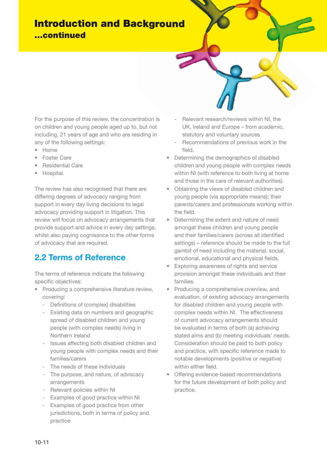## **Introduction and Background ...continued**

For the purpose of this review, the concentration is on children and young people aged up to, but not including, 21 years of age and who are residing in any of the following settings:

- Home
- **Foster Care**
- Residential Care
- Hospital.

The review has also recognised that there are differing degrees of advocacy ranging from support in every day living decisions to legal advocacy providing support in litigation. This review will focus on advocacy arrangements that provide support and advice in every day settings, whilst also paying cognisance to the other forms of advocacy that are required.

## **2.2 Terms of Reference**

The terms of reference indicate the following specific objectives:

- Producing a comprehensive literature review, covering:
	- Definitions of (complex) disabilities
	- Existing data on numbers and geographic spread of disabled children and young people (with complex needs) living in Northern Ireland
	- Issues affecting both disabled children and young people with complex needs and their families/carers
	- The needs of these individuals
	- The purpose, and nature, of advocacy arrangements
	- Relevant policies within NI
	- Examples of good practice within NI
	- Examples of good practice from other jurisdictions, both in terms of policy and practice
- Relevant research/reviews within NI, the UK, Ireland and Europe – from academic, statutory and voluntary sources
- Recommendations of previous work in the field.
- Determining the demographics of disabled children and young people with complex needs within NI (with reference to both living at home and those in the care of relevant authorities).
- Obtaining the views of disabled children and young people (via appropriate means); their parents/carers and professionals working within the field.
- Determining the extent and nature of need amongst these children and young people and their families/carers (across all identified settings) – reference should be made to the full gambit of need including the material, social, emotional, educational and physical fields.
- Exploring awareness of rights and service provision amongst these individuals and their families.
- Producing a comprehensive overview, and evaluation, of existing advocacy arrangements for disabled children and young people with complex needs within NI. The effectiveness of current advocacy arrangements should be evaluated in terms of both (a) achieving stated aims and (b) meeting individuals' needs. Consideration should be paid to both policy and practice, with specific reference made to notable developments (positive or negative) within either field.
- Offering evidence-based recommendations for the future development of both policy and practice.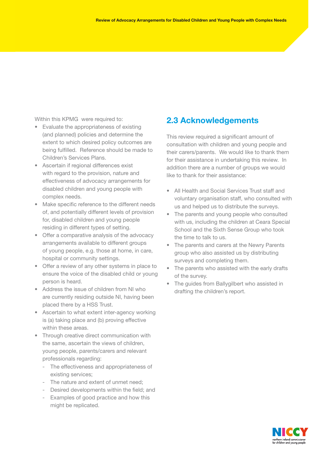Within this KPMG were required to:

- Evaluate the appropriateness of existing (and planned) policies and determine the extent to which desired policy outcomes are being fulfilled. Reference should be made to Children's Services Plans.
- Ascertain if regional differences exist with regard to the provision, nature and effectiveness of advocacy arrangements for disabled children and young people with complex needs.
- Make specific reference to the different needs of, and potentially different levels of provision for, disabled children and young people residing in different types of setting.
- Offer a comparative analysis of the advocacy arrangements available to different groups of young people, e.g. those at home, in care, hospital or community settings.
- Offer a review of any other systems in place to ensure the voice of the disabled child or young person is heard.
- Address the issue of children from NI who are currently residing outside NI, having been placed there by a HSS Trust.
- Ascertain to what extent inter-agency working is (a) taking place and (b) proving effective within these areas.
- Through creative direct communication with the same, ascertain the views of children, young people, parents/carers and relevant professionals regarding:
	- The effectiveness and appropriateness of existing services;
	- The nature and extent of unmet need;
	- Desired developments within the field; and
	- Examples of good practice and how this might be replicated.

## **2.3 Acknowledgements**

This review required a significant amount of consultation with children and young people and their carers/parents. We would like to thank them for their assistance in undertaking this review. In addition there are a number of groups we would like to thank for their assistance:

- All Health and Social Services Trust staff and voluntary organisation staff, who consulted with us and helped us to distribute the surveys.
- The parents and young people who consulted with us, including the children at Ceara Special School and the Sixth Sense Group who took the time to talk to us.
- The parents and carers at the Newry Parents group who also assisted us by distributing surveys and completing them.
- The parents who assisted with the early drafts of the survey.
- The guides from Ballygilbert who assisted in drafting the children's report.

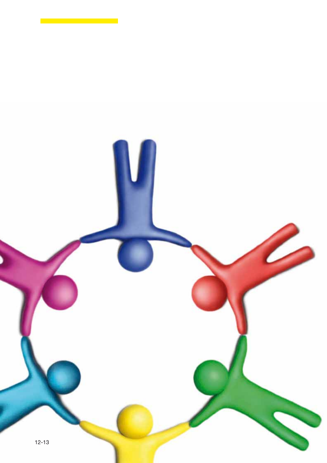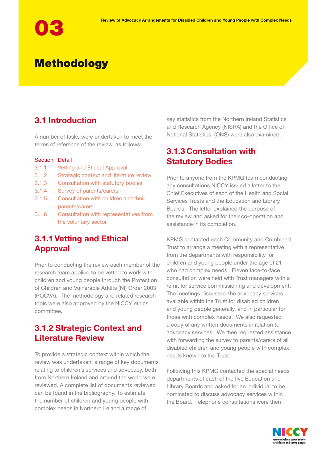## **Methodology**

## **3.1 Introduction**

A number of tasks were undertaken to meet the terms of reference of the review, as follows:

#### Section Detail

- 3.1.1 Vetting and Ethical Approval
- 3.1.2 Strategic context and literature review
- 3.1.3 Consultation with statutory bodies
- 3.1.4 Survey of parents/carers
- 3.1.5 Consultation with children and their parents/carers
- 3.1.6 Consultation with representatives from the voluntary sector.

## **3.1.1 Vetting and Ethical Approval**

Prior to conducting the review each member of the research team applied to be vetted to work with children and young people through the Protection of Children and Vulnerable Adults (NI) Order 2003 (POCVA). The methodology and related research tools were also approved by the NICCY ethics committee.

## **3.1.2 Strategic Context and Literature Review**

To provide a strategic context within which the review was undertaken, a range of key documents relating to children's services and advocacy, both from Northern Ireland and around the world were reviewed. A complete list of documents reviewed can be found in the bibliography. To estimate the number of children and young people with complex needs in Northern Ireland a range of

key statistics from the Northern Ireland Statistics and Research Agency (NISRA) and the Office of National Statistics (ONS) were also examined.

## **3.1.3 Consultation with Statutory Bodies**

Prior to anyone from the KPMG team conducting any consultations NICCY issued a letter to the Chief Executives of each of the Health and Social Services Trusts and the Education and Library Boards. The letter explained the purpose of the review and asked for their co-operation and assistance in its completion.

KPMG contacted each Community and Combined Trust to arrange a meeting with a representative from the departments with responsibility for children and young people under the age of 21 who had complex needs. Eleven face-to-face consultation were held with Trust managers with a remit for service commissioning and development. The meetings discussed the advocacy services available within the Trust for disabled children and young people generally, and in particular for those with complex needs. We also requested a copy of any written documents in relation to advocacy services. We then requested assistance with forwarding the survey to parents/carers of all disabled children and young people with complex needs known to the Trust.

Following this KPMG contacted the special needs departments of each of the five Education and Library Boards and asked for an individual to be nominated to discuss advocacy services within the Board. Telephone consultations were then

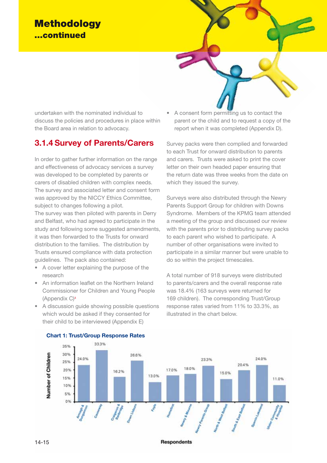## **Methodology ...continued**

undertaken with the nominated individual to discuss the policies and procedures in place within the Board area in relation to advocacy.

## **3.1.4 Survey of Parents/Carers**

In order to gather further information on the range and effectiveness of advocacy services a survey was developed to be completed by parents or carers of disabled children with complex needs. The survey and associated letter and consent form was approved by the NICCY Ethics Committee, subject to changes following a pilot.

The survey was then piloted with parents in Derry and Belfast, who had agreed to participate in the study and following some suggested amendments, it was then forwarded to the Trusts for onward distribution to the families. The distribution by Trusts ensured compliance with data protection guidelines. The pack also contained:

- A cover letter explaining the purpose of the research
- An information leaflet on the Northern Ireland Commissioner for Children and Young People (Appendix C)3
- A discussion guide showing possible questions which would be asked if they consented for their child to be interviewed (Appendix E)

• A consent form permitting us to contact the parent or the child and to request a copy of the report when it was completed (Appendix D).

Survey packs were then complied and forwarded to each Trust for onward distribution to parents and carers. Trusts were asked to print the cover letter on their own headed paper ensuring that the return date was three weeks from the date on which they issued the survey.

Surveys were also distributed through the Newry Parents Support Group for children with Downs Syndrome. Members of the KPMG team attended a meeting of the group and discussed our review with the parents prior to distributing survey packs to each parent who wished to participate. A number of other organisations were invited to participate in a similar manner but were unable to do so within the project timescales.

A total number of 918 surveys were distributed to parents/carers and the overall response rate was 18.4% (163 surveys were returned for 169 children). The corresponding Trust/Group response rates varied from 11% to 33.3%, as illustrated in the chart below.



#### **Chart 1: Trust/Group Response Rates**

14-15

**Respondents**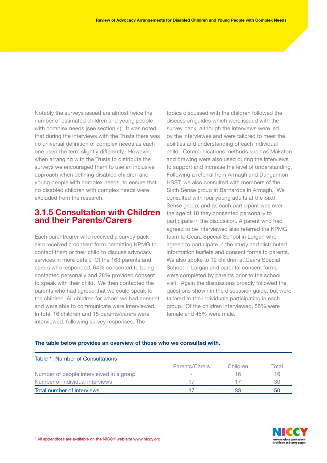Notably the surveys issued are almost twice the number of estimated children and young people with complex needs (see section 4). It was noted that during the interviews with the Trusts there was no universal definition of complex needs as each one used the term slightly differently. However, when arranging with the Trusts to distribute the surveys we encouraged them to use an inclusive approach when defining disabled children and young people with complex needs, to ensure that no disabled children with complex needs were excluded from the research.

#### **3.1.5 Consultation with Children and their Parents/Carers**

Each parent/carer who received a survey pack also received a consent form permitting KPMG to contact them or their child to discuss advocacy services in more detail. Of the 163 parents and carers who responded, 64% consented to being contacted personally and 28% provided consent to speak with their child. We then contacted the parents who had agreed that we could speak to the children. All children for whom we had consent and were able to communicate were interviewed. In total 16 children and 15 parents/carers were interviewed, following survey responses. The

topics discussed with the children followed the discussion guides which were issued with the survey pack, although the interviews were led by the interviewee and were tailored to meet the abilities and understanding of each individual child. Communications methods such as Makaton and drawing were also used during the interviews to support and increase the level of understanding. Following a referral from Armagh and Dungannon HSST, we also consulted with members of the Sixth Sense group at Barnardos in Armagh. We consulted with four young adults at the Sixth Sense group, and as each participant was over the age of 18 they consented personally to participate in the discussion. A parent who had agreed to be interviewed also referred the KPMG team to Ceara Special School in Lurgan who agreed to participate in the study and distributed information leaflets and consent forms to parents. We also spoke to 12 children at Ceara Special School in Lurgan and parental consent forms were completed by parents prior to the school visit. Again the discussions broadly followed the questions shown in the discussion guide, but were tailored to the individuals participating in each group. Of the children interviewed, 55% were female and 45% were male.

#### **The table below provides an overview of those who we consulted with.**

| Table 1: Number of Consultations        |                |          |       |  |
|-----------------------------------------|----------------|----------|-------|--|
|                                         | Parents/Carers | Children | Total |  |
| Number of people interviewed in a group |                | ΠK       | 16    |  |
| Number of individual interviews         |                |          |       |  |
| Total number of interviews              |                |          | 50    |  |

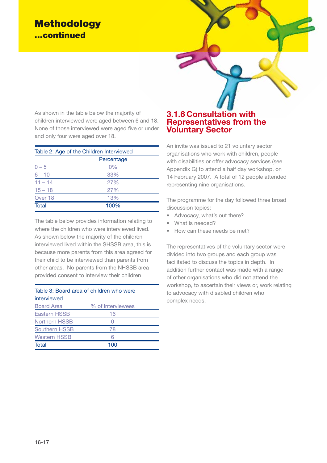## **Methodology ...continued**

As shown in the table below the majority of children interviewed were aged between 6 and 18. None of those interviewed were aged five or under and only four were aged over 18.

|              | Percentage |
|--------------|------------|
| $0 - 5$      | 0%         |
| $6 - 10$     | 33%        |
| $11 - 14$    | 27%        |
| $15 - 18$    | 27%        |
| Over 18      | 13%        |
| <b>Total</b> | 100%       |

The table below provides information relating to where the children who were interviewed lived. As shown below the majority of the children interviewed lived within the SHSSB area, this is because more parents from this area agreed for their child to be interviewed than parents from other areas. No parents from the NHSSB area provided consent to interview their children

| Table 3: Board area of children who were |                   |  |  |
|------------------------------------------|-------------------|--|--|
| interviewed                              |                   |  |  |
| <b>Board Area</b>                        | % of interviewees |  |  |
| <b>Eastern HSSB</b>                      | 16                |  |  |
| <b>Northern HSSB</b>                     | 0                 |  |  |
| <b>Southern HSSB</b>                     | 78                |  |  |
| <b>Western HSSB</b>                      | 6                 |  |  |
| Total                                    | 100               |  |  |

## **3.1.6 Consultation with Representatives from the Voluntary Sector**

An invite was issued to 21 voluntary sector organisations who work with children, people with disabilities or offer advocacy services (see Appendix G) to attend a half day workshop, on 14 February 2007. A total of 12 people attended representing nine organisations.

The programme for the day followed three broad discussion topics:

- Advocacy, what's out there?
- What is needed?
- How can these needs be met?

The representatives of the voluntary sector were divided into two groups and each group was facilitated to discuss the topics in depth. In addition further contact was made with a range of other organisations who did not attend the workshop, to ascertain their views or, work relating to advocacy with disabled children who complex needs.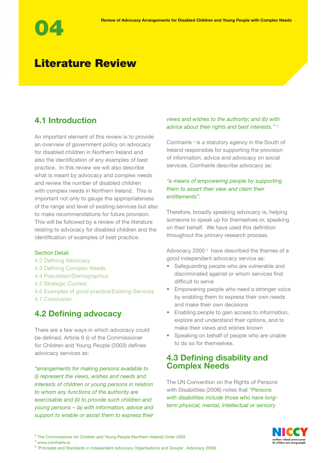## **Literature Review**

## **4.1 Introduction**

An important element of this review is to provide an overview of government policy on advocacy for disabled children in Northern Ireland and also the identification of any examples of best practice. In this review we will also describe what is meant by advocacy and complex needs and review the number of disabled children with complex needs in Northern Ireland. This is important not only to gauge the appropriateness of the range and level of existing services but also to make recommendations for future provision. This will be followed by a review of the literature relating to advocacy for disabled children and the identification of examples of best practice.

#### Section Detail

- 4.2 Defining Advocacy
- 4.3 Defining Complex Needs
- 4.4 Population/Demographics
- 4.5 Strategic Context
- 4.6 Examples of good practice/Existing Services
- 4.7 Conclusion

## **4.2 Defining advocacy**

There are a few ways in which advocacy could be defined, Article 9 (i) of the Commissioner for Children and Young People (2003) defines advocacy services as:

*"arrangements for making persons available to (i) represent the views, wishes and needs and interests of children or young persons in relation to whom any functions of the authority are exercisable and (ii) to provide such children and young persons – (a) with information, advice and support to enable or assist them to express their* 

#### *views and wishes to the authority; and (b) with advice about their rights and best interests."* <sup>3</sup>

Comhairle 4 is a statutory agency in the South of Ireland responsible for supporting the provision of information, advice and advocacy on social services. Comhairle describe advocacy as:

#### *"a means of empowering people by supporting them to assert their view and claim their entitlements".*

Therefore, broadly speaking advocacy is, helping someone to speak up for themselves or, speaking on their behalf. We have used this definition throughout the primary research process.

Advocacy 2000<sup>5</sup> have described the themes of a good independent advocacy service as:

- Safeguarding people who are vulnerable and discriminated against or whom services find difficult to serve
- Empowering people who need a stronger voice by enabling them to express their own needs and make their own decisions
- Enabling people to gain access to information, explore and understand their options, and to make their views and wishes known
- Speaking on behalf of people who are unable to do so for themselves.

#### **4.3 Defining disability and Complex Needs**

The UN Convention on the Rights of Persons with Disabilities (2006) notes that *"Persons with disabilities include those who have longterm physical, mental, intellectual or sensory* 



<sup>3</sup> The Commissioner for Children and Young People (Northern Ireland) Order 2003

4 www.comhairle.ie

<sup>5</sup> 'Principles and Standards in Independent Advocacy Organisations and Groups', Advocacy 2000)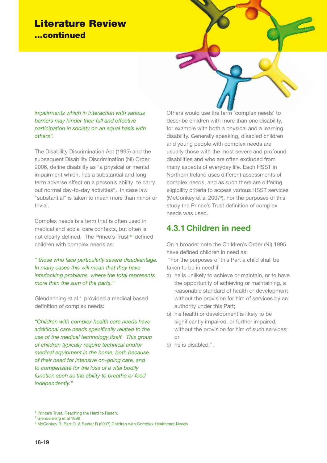## **Literature Review ...continued**

*impairments which in interaction with various barriers may hinder their full and effective participation in society on an equal basis with others".* 

The Disability Discrimination Act (1995) and the subsequent Disability Discrimination (NI) Order 2006, define disability as "a physical or mental impairment which, has a substantial and longterm adverse effect on a person's ability to carry out normal day-to-day activities". In case law "substantial" is taken to mean more than minor or trivial.

Complex needs is a term that is often used in medical and social care contexts, but often is not clearly defined. The Prince's Trust <sup>6</sup> defined children with complex needs as:

*" those who face particularly severe disadvantage. In many cases this will mean that they have interlocking problems, where the total represents more than the sum of the parts."*

Glendenning et al<sup>7</sup> provided a medical based definition of complex needs:

*"Children with complex health care needs have*  additional care needs specifically related to the *use of the medical technology itself. This group of children typically require technical and/or medical equipment in the home, both because of their need for intensive on-going care, and to compensate for the loss of a vital bodily function such as the ability to breathe or feed independently."*

Others would use the term 'complex needs' to describe children with more than one disability, for example with both a physical and a learning disability. Generally speaking, disabled children and young people with complex needs are usually those with the most severe and profound disabilities and who are often excluded from many aspects of everyday life. Each HSST in Northern Ireland uses different assessments of complex needs, and as such there are differing eligibility criteria to access various HSST services (McConkey et al 2007<sup>8</sup>). For the purposes of this study the Prince's Trust definition of complex needs was used.

## **4.3.1 Children in need**

On a broader note the Children's Order (NI) 1995 have defined children in need as:

 "For the purposes of this Part a child shall be taken to be in need if—

- a) he is unlikely to achieve or maintain, or to have the opportunity of achieving or maintaining, a reasonable standard of health or development without the provision for him of services by an authority under this Part;
- b) his health or development is likely to be significantly impaired, or further impaired, without the provision for him of such services; or
- c) he is disabled,".

<sup>&</sup>lt;sup>6</sup> Prince's Trust, Reaching the Hard to Reach.

<sup>&</sup>lt;sup>7</sup> Glendenning et al 1999

<sup>&</sup>lt;sup>8</sup> McConkey R, Barr O. & Baxter R (2007) Children with Complex Healthcare Needs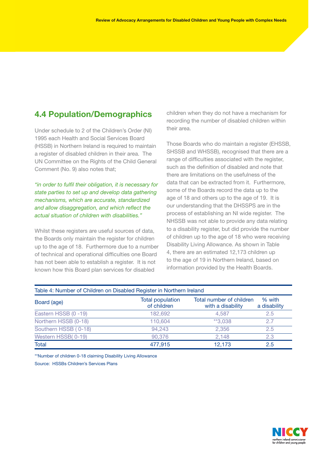## **4.4 Population/Demographics**

Under schedule to 2 of the Children's Order (NI) 1995 each Health and Social Services Board (HSSB) in Northern Ireland is required to maintain a register of disabled children in their area. The UN Committee on the Rights of the Child General Comment (No. 9) also notes that;

"in order to fulfil their obligation, it is necessary for *state parties to set up and develop data gathering mechanisms, which are accurate, standardized*  and allow disaggregation, and which reflect the *actual situation of children with disabilities."*

Whilst these registers are useful sources of data, the Boards only maintain the register for children up to the age of 18. Furthermore due to a number of technical and operational difficulties one Board has not been able to establish a register. It is not known how this Board plan services for disabled

children when they do not have a mechanism for recording the number of disabled children within their area.

Those Boards who do maintain a register (EHSSB, SHSSB and WHSSB), recognised that there are a range of difficulties associated with the register, such as the definition of disabled and note that there are limitations on the usefulness of the data that can be extracted from it. Furthermore, some of the Boards record the data up to the age of 18 and others up to the age of 19. It is our understanding that the DHSSPS are in the process of establishing an NI wide register. The NHSSB was not able to provide any data relating to a disability register, but did provide the number of children up to the age of 18 who were receiving Disability Living Allowance. As shown in Table 4, there are an estimated 12,173 children up to the age of 19 in Northern Ireland, based on information provided by the Health Boards.

| Table 4: Number of Children on Disabled Register in Northern Ireland |                                        |                                               |                        |
|----------------------------------------------------------------------|----------------------------------------|-----------------------------------------------|------------------------|
| Board (age)                                                          | <b>Total population</b><br>of children | Total number of children<br>with a disability | % with<br>a disability |
| Eastern HSSB (0-19)                                                  | 182,692                                | 4.587                                         | 2.5                    |
| Northern HSSB (0-18)                                                 | 110,604                                | **3,038                                       | 27                     |
| Southern HSSB (0-18)                                                 | 94,243                                 | 2,356                                         | 2.5                    |
| Western HSSB(0-19)                                                   | 90,376                                 | 2,148                                         | 2.3                    |
| Total                                                                | 477,915                                | 12,173                                        | 2.5                    |

\*\*Number of children 0-18 claiming Disability Living Allowance Source: HSSBs Children's Services Plans

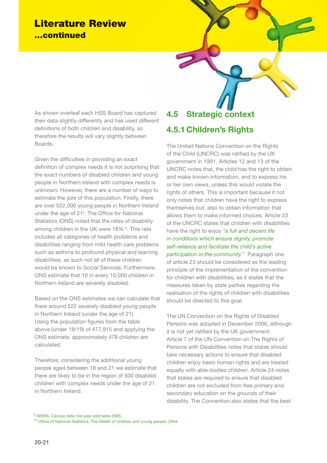## **Literature Review ...continued**

As shown overleaf each HSS Board has captured their data slightly differently and has used different definitions of both children and disability, so therefore the results will vary slightly between Boards.

Given the difficulties in providing an exact definition of complex needs it is not surprising that the exact numbers of disabled children and young people in Northern Ireland with complex needs is unknown. However, there are a number of ways to estimate the size of this population. Firstly, there are over 522,000 young people in Northern Ireland under the age of 21<sup>°</sup>. The Office for National Statistics (ONS) noted that the rates of disability among children in the UK were 18%<sup>10</sup>. This rate includes all categories of health problems and disabilities ranging from mild health care problems such as asthma to profound physical and learning disabilities, as such not all of these children would be known to Social Services. Furthermore, ONS estimate that 10 in every 10,000 children in Northern Ireland are severely disabled.

Based on the ONS estimates we can calculate that there around 522 severely disabled young people in Northern Ireland (under the age of 21). Using the population figures from the table above (under 18/19) of 477,915 and applying the ONS estimate, approximately 478 children are calculated.

Therefore, considering the additional young people aged between 18 and 21 we estimate that there are likely to be in the region of 500 disabled children with complex needs under the age of 21 in Northern Ireland.

## **4.5 Strategic context 4.5.1 Children's Rights**

The United Nations Convention on the Rights of the Child (UNCRC) was ratified by the UK government in 1991. Articles 12 and 13 of the UNCRC notes that, the child has the right to obtain and make known information, and to express his or her own views, unless this would violate the rights of others. This is important because it not only notes that children have the right to express themselves but, also to obtain information that allows them to make informed choices. Article 23 of the UNCRC states that children with disabilities have the right to enjoy *"a full and decent life in conditions which ensure dignity, promote self-reliance and facilitate the child's active participation in the community."* Paragraph one of article 23 should be considered as the leading principle of the implementation of the convention for children with disabilities, as it states that the measures taken by state parties regarding the realisation of the rights of children with disabilities should be directed to this goal.

The UN Convention on the Rights of Disabled Persons was adopted in December 2006, although it is not yet ratified by the UK government. Article 7 of the UN Convention on The Rights of Persons with Disabilities notes that states should take necessary actions to ensure that disabled children enjoy basic human rights and are treated equally with able-bodies children. Article 24 notes that states are required to ensure that disabled children are not excluded from free primary and secondary education on the grounds of their disability. The Convention also states that the best

<sup>&</sup>lt;sup>9</sup> NISRA, Census data mid year estimates 2005.

<sup>&</sup>lt;sup>10</sup> Office of National Statistics, The Health of children and young people, 2004.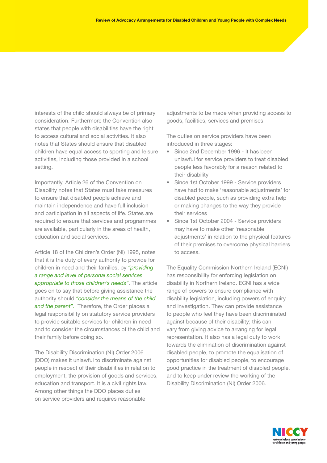interests of the child should always be of primary consideration. Furthermore the Convention also states that people with disabilities have the right to access cultural and social activities. It also notes that States should ensure that disabled children have equal access to sporting and leisure activities, including those provided in a school setting.

Importantly, Article 26 of the Convention on Disability notes that States must take measures to ensure that disabled people achieve and maintain independence and have full inclusion and participation in all aspects of life. States are required to ensure that services and programmes are available, particularly in the areas of health, education and social services.

Article 18 of the Children's Order (NI) 1995, notes that it is the duty of every authority to provide for children in need and their families, by *"providing a range and level of personal social services appropriate to those children's needs"*. The article goes on to say that before giving assistance the authority should *"consider the means of the child and the parent".* Therefore, the Order places a legal responsibility on statutory service providers to provide suitable services for children in need and to consider the circumstances of the child and their family before doing so.

The Disability Discrimination (NI) Order 2006 (DDO) makes it unlawful to discriminate against people in respect of their disabilities in relation to employment, the provision of goods and services, education and transport. It is a civil rights law. Among other things the DDO places duties on service providers and requires reasonable

adjustments to be made when providing access to goods, facilities, services and premises.

The duties on service providers have been introduced in three stages:

- Since 2nd December 1996 It has been unlawful for service providers to treat disabled people less favorably for a reason related to their disability
- Since 1st October 1999 Service providers have had to make 'reasonable adjustments' for disabled people, such as providing extra help or making changes to the way they provide their services
- Since 1st October 2004 Service providers may have to make other 'reasonable adjustments' in relation to the physical features of their premises to overcome physical barriers to access.

The Equality Commission Northern Ireland (ECNI) has responsibility for enforcing legislation on disability in Northern Ireland. ECNI has a wide range of powers to ensure compliance with disability legislation, including powers of enquiry and investigation. They can provide assistance to people who feel they have been discriminated against because of their disability; this can vary from giving advice to arranging for legal representation. It also has a legal duty to work towards the elimination of discrimination against disabled people, to promote the equalisation of opportunities for disabled people, to encourage good practice in the treatment of disabled people, and to keep under review the working of the Disability Discrimination (NI) Order 2006.

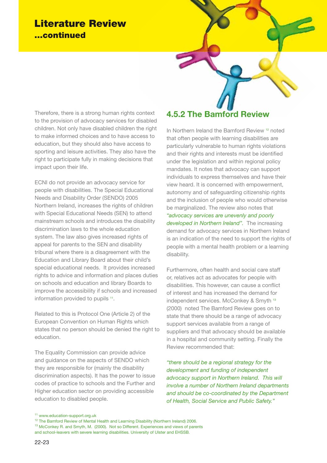## **Literature Review ...continued**

Therefore, there is a strong human rights context to the provision of advocacy services for disabled children. Not only have disabled children the right to make informed choices and to have access to education, but they should also have access to sporting and leisure activities. They also have the right to participate fully in making decisions that impact upon their life.

ECNI do not provide an advocacy service for people with disabilities. The Special Educational Needs and Disability Order (SENDO) 2005 Northern Ireland, increases the rights of children with Special Educational Needs (SEN) to attend mainstream schools and introduces the disability discrimination laws to the whole education system. The law also gives increased rights of appeal for parents to the SEN and disability tribunal where there is a disagreement with the Education and Library Board about their child's special educational needs. It provides increased rights to advice and information and places duties on schools and education and library Boards to improve the accessibility if schools and increased information provided to pupils 11.

Related to this is Protocol One (Article 2) of the European Convention on Human Rights which states that no person should be denied the right to education.

The Equality Commission can provide advice and guidance on the aspects of SENDO which they are responsible for (mainly the disability discrimination aspects). It has the power to issue codes of practice to schools and the Further and Higher education sector on providing accessible education to disabled people.

## **4.5.2 The Bamford Review**

In Northern Ireland the Bamford Review 12 noted that often people with learning disabilities are particularly vulnerable to human rights violations and their rights and interests must be identified under the legislation and within regional policy mandates. It notes that advocacy can support individuals to express themselves and have their view heard. It is concerned with empowerment, autonomy and of safeguarding citizenship rights and the inclusion of people who would otherwise be marginalized. The review also notes that *"advocacy services are unevenly and poorly developed in Northern Ireland".* The increasing demand for advocacy services in Northern Ireland is an indication of the need to support the rights of people with a mental health problem or a learning disability.

Furthermore, often health and social care staff or, relatives act as advocates for people with disabilities. This however, can cause a conflict of interest and has increased the demand for independent services. McConkey & Smyth<sup>13</sup> (2000) noted The Bamford Review goes on to state that there should be a range of advocacy support services available from a range of suppliers and that advocacy should be available in a hospital and community setting. Finally the Review recommended that:

*"there should be a regional strategy for the development and funding of independent advocacy support in Northern Ireland. This will involve a number of Northern Ireland departments and should be co-coordinated by the Department of Health, Social Service and Public Safety."*

<sup>11</sup> www.education-support.org.uk

<sup>&</sup>lt;sup>12</sup> The Bamford Review of Mental Health and Learning Disability (Northern Ireland) 2006.

<sup>&</sup>lt;sup>13</sup> McConkey R. and Smyth, M. (2000). Not so Different. Experiences and views of parents

and school-leavers with severe learning disabilities. University of Ulster and EHSSB.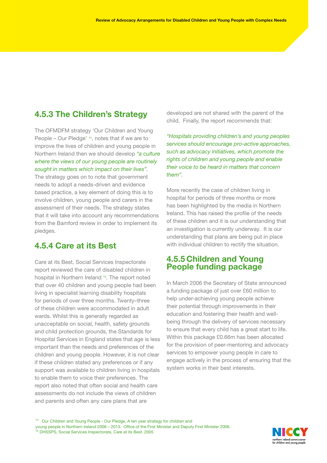## **4.5.3 The Children's Strategy**

The OFMDFM strategy 'Our Children and Young People – Our Pledge' 14, notes that if we are to improve the lives of children and young people in Northern Ireland then we should develop *"a culture where the views of our young people are routinely sought in matters which impact on their lives".*

The strategy goes on to note that government needs to adopt a needs-driven and evidence based practice, a key element of doing this is to involve children, young people and carers in the assessment of their needs. The strategy states that it will take into account any recommendations from the Bamford review in order to implement its pledges.

## **4.5.4 Care at its Best**

Care at its Best, Social Services Inspectorate report reviewed the care of disabled children in hospital in Northern Ireland <sup>15</sup>. The report noted that over 40 children and young people had been living in specialist learning disability hospitals for periods of over three months. Twenty–three of these children were accommodated in adult wards. Whilst this is generally regarded as unacceptable on social, health, safety grounds and child protection grounds, the Standards for Hospital Services in England states that age is less important than the needs and preferences of the children and young people. However, it is not clear if these children stated any preferences or if any support was available to children living in hospitals to enable them to voice their preferences. The report also noted that often social and health care assessments do not include the views of children and parents and often any care plans that are

developed are not shared with the parent of the child. Finally, the report recommends that:

*"Hospitals providing children's and young peoples services should encourage pro-active approaches, such as advocacy initiatives, which promote the rights of children and young people and enable their voice to be heard in matters that concern them".* 

More recently the case of children living in hospital for periods of three months or more has been highlighted by the media in Northern Ireland. This has raised the profile of the needs of these children and it is our understanding that an investigation is currently underway. It is our understanding that plans are being put in place with individual children to rectify the situation.

#### **4.5.5 Children and Young People funding package**

In March 2006 the Secretary of State announced a funding package of just over £60 million to help under-achieving young people achieve their potential through improvements in their education and fostering their health and wellbeing through the delivery of services necessary to ensure that every child has a great start to life. Within this package £0.66m has been allocated for the provision of peer-mentoring and advocacy services to empower young people in care to engage actively in the process of ensuring that the system works in their best interests.

<sup>14</sup> Our Children and Young People - Our Pledge, A ten year strategy for children and young people in Northern Ireland 2006 - 2013. Office of the First Minister and Deputy First Minister 2006. 15 DHSSPS, Social Services Inspectorate, Care at its Best. 2005

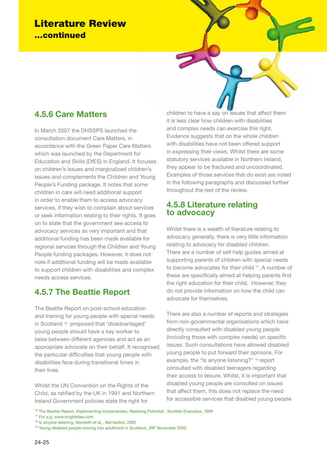## **Literature Review ...continued**

## **4.5.6 Care Matters**

In March 2007 the DHSSPS launched the consultation document Care Matters, in accordance with the Green Paper Care Matters which was launched by the Department for Education and Skills (DfES) in England. It focuses on children's issues and marginalized children's issues and complements the Children and Young People's Funding package. It notes that some children in care will need additional support in order to enable them to access advocacy services, if they wish to complain about services or seek information relating to their rights. It goes on to state that the government see access to advocacy services as very important and that additional funding has been made available for regional services through the Children and Young People funding packages. However, it does not note if additional funding will be made available to support children with disabilities and complex needs access services.

## **4.5.7 The Beattie Report**

The Beattie Report on post-school education and training for young people with special needs in Scotland 16 proposed that 'disadvantaged' young people should have a key worker to liaise between different agencies and act as an appropriate advocate on their behalf. It recognised the particular difficulties that young people with disabilities face during transitional times in their lives.

Whilst the UN Convention on the Rights of the Child, as ratified by the UK in 1991 and Northern Ireland Government policies state the right for

children to have a say on issues that affect them it is less clear how children with disabilities and complex needs can exercise this right. Evidence suggests that on the whole children with disabilities have not been offered support in expressing their views. Whilst there are some statutory services available in Northern Ireland, they appear to be fractured and uncoordinated. Examples of those services that do exist are noted in the following paragraphs and discussed further throughout the rest of the review.

## **4.5.8 Literature relating to advocacy**

Whilst there is a wealth of literature relating to advocacy generally, there is very little information relating to advocacy for disabled children. There are a number of self help guides aimed at supporting parents of children with special needs to become advocates for their child 17. A number of these are specifically aimed at helping parents find the right education for their child. However, they do not provide information on how the child can advocate for themselves.

There are also a number of reports and strategies from non-governmental organisations which have directly consulted with disabled young people (including those with complex needs) on specific issues. Such consultations have allowed disabled young people to put forward their opinions. For example, the "Is anyone listening?" 18 report consulted with disabled teenagers regarding their access to leisure. Whilst, it is important that disabled young people are consulted on issues that affect them, this does not replace the need for accessible services that disabled young people

<sup>17</sup> For e.g. www.wrightslaw.com

<sup>&</sup>lt;sup>16</sup> The Beattie Report, Implementing Inclusiveness, Realising Potential. Scottish Executive, 1999

<sup>&</sup>lt;sup>18</sup> Is anyone listening, Monteith et al, , Barnardos, 2002

<sup>19</sup> Young disabled people moving into adulthood in Scotland, JRF November 2002.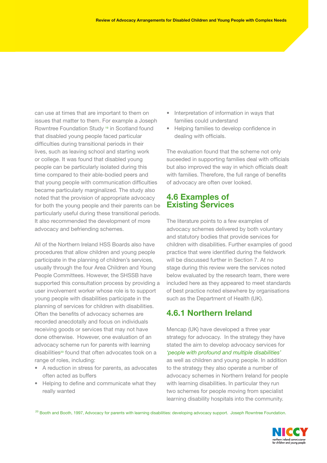can use at times that are important to them on issues that matter to them. For example a Joseph Rowntree Foundation Study 19 in Scotland found that disabled young people faced particular difficulties during transitional periods in their lives, such as leaving school and starting work or college. It was found that disabled young people can be particularly isolated during this time compared to their able-bodied peers and that young people with communication difficulties became particularly marginalized. The study also noted that the provision of appropriate advocacy for both the young people and their parents can be particularly useful during these transitional periods. It also recommended the development of more advocacy and befriending schemes.

All of the Northern Ireland HSS Boards also have procedures that allow children and young people participate in the planning of children's services, usually through the four Area Children and Young People Committees. However, the SHSSB have supported this consultation process by providing a user involvement worker whose role is to support young people with disabilities participate in the planning of services for children with disabilities. Often the benefits of advocacy schemes are recorded anecdotally and focus on individuals receiving goods or services that may not have done otherwise. However, one evaluation of an advocacy scheme run for parents with learning disabilities<sup>20</sup> found that often advocates took on a range of roles, including:

- A reduction in stress for parents, as advocates often acted as buffers
- Helping to define and communicate what they really wanted
- Interpretation of information in ways that families could understand
- Helping families to develop confidence in dealing with officials.

The evaluation found that the scheme not only suceeded in supporting families deal with officials but also improved the way in which officials dealt with families. Therefore, the full range of benefits of advocacy are often over looked.

## **4.6 Examples of Existing Services**

The literature points to a few examples of advocacy schemes delivered by both voluntary and statutory bodies that provide services for children with disabilities. Further examples of good practice that were identified during the fieldwork will be discussed further in Section 7. At no stage during this review were the services noted below evaluated by the research team, there were included here as they appeared to meet standards of best practice noted elsewhere by organisations such as the Department of Health (UK).

## **4.6.1 Northern Ireland**

Mencap (UK) have developed a three year strategy for advocacy. In the strategy they have stated the aim to develop advocacy services for *'people with profound and multiple disabilities'*  as well as children and young people. In addition to the strategy they also operate a number of advocacy schemes in Northern Ireland for people with learning disabilities. In particular they run two schemes for people moving from specialist learning disability hospitals into the community.

<sup>20</sup> Booth and Booth, 1997, Advocacy for parents with learning disabilities: developing advocacy support. Joseph Rowntree Foundation.

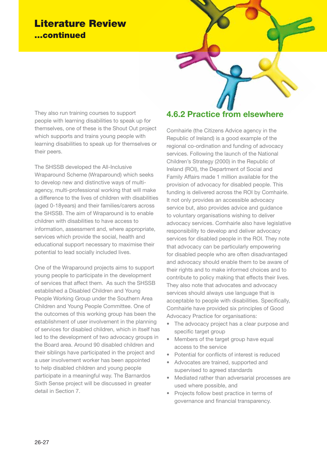## **Literature Review ...continued**

They also run training courses to support people with learning disabilities to speak up for themselves, one of these is the Shout Out project which supports and trains young people with learning disabilities to speak up for themselves or their peers.

The SHSSB developed the All-Inclusive Wraparound Scheme (Wraparound) which seeks to develop new and distinctive ways of multiagency, multi-professional working that will make a difference to the lives of children with disabilities (aged 0-18years) and their families/carers across the SHSSB. The aim of Wraparound is to enable children with disabilities to have access to information, assessment and, where appropriate, services which provide the social, health and educational support necessary to maximise their potential to lead socially included lives.

One of the Wraparound projects aims to support young people to participate in the development of services that affect them. As such the SHSSB established a Disabled Children and Young People Working Group under the Southern Area Children and Young People Committee. One of the outcomes of this working group has been the establishment of user involvement in the planning of services for disabled children, which in itself has led to the development of two advocacy groups in the Board area. Around 90 disabled children and their siblings have participated in the project and a user involvement worker has been appointed to help disabled children and young people participate in a meaningful way. The Barnardos Sixth Sense project will be discussed in greater detail in Section 7.

## **4.6.2 Practice from elsewhere**

Comhairle (the Citizens Advice agency in the Republic of Ireland) is a good example of the regional co-ordination and funding of advocacy services. Following the launch of the National Children's Strategy (2000) in the Republic of Ireland (ROI), the Department of Social and Family Affairs made 1 million available for the provision of advocacy for disabled people. This funding is delivered across the ROI by Comhairle. It not only provides an accessible advocacy service but, also provides advice and guidance to voluntary organisations wishing to deliver advocacy services. Comhairle also have legislative responsibility to develop and deliver advocacy services for disabled people in the ROI. They note that advocacy can be particularly empowering for disabled people who are often disadvantaged and advocacy should enable them to be aware of their rights and to make informed choices and to contribute to policy making that effects their lives. They also note that advocates and advocacy services should always use language that is acceptable to people with disabilities. Specifically, Comhairle have provided six principles of Good Advocacy Practice for organisations:

- The advocacy project has a clear purpose and specific target group
- Members of the target group have equal access to the service
- Potential for conflicts of interest is reduced
- Advocates are trained, supported and supervised to agreed standards
- Mediated rather than adversarial processes are used where possible, and
- Projects follow best practice in terms of governance and financial transparency.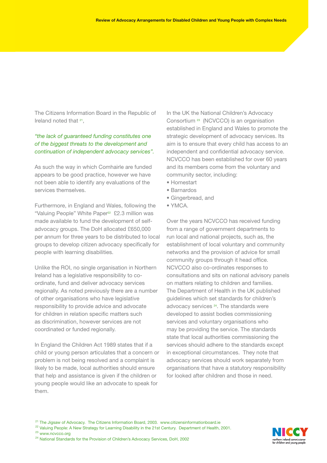The Citizens Information Board in the Republic of Ireland noted that 21,

#### *"the lack of guaranteed funding constitutes one of the biggest threats to the development and continuation of independent advocacy services".*

As such the way in which Comhairle are funded appears to be good practice, however we have not been able to identify any evaluations of the services themselves.

Furthermore, in England and Wales, following the "Valuing People" White Paper<sup>22</sup> £2.3 million was made available to fund the development of selfadvocacy groups. The DoH allocated £650,000 per annum for three years to be distributed to local groups to develop citizen advocacy specifically for people with learning disabilities.

Unlike the ROI, no single organisation in Northern Ireland has a legislative responsibility to coordinate, fund and deliver advocacy services regionally. As noted previously there are a number of other organisations who have legislative responsibility to provide advice and advocate for children in relation specific matters such as discrimination, however services are not coordinated or funded regionally.

In England the Children Act 1989 states that if a child or young person articulates that a concern or problem is not being resolved and a complaint is likely to be made, local authorities should ensure that help and assistance is given if the children or young people would like an advocate to speak for them.

In the UK the National Children's Advocacy Consortium 23 (NCVCCO) is an organisation established in England and Wales to promote the strategic development of advocacy services. Its aim is to ensure that every child has access to an independent and confidential advocacy service. NCVCCO has been established for over 60 years and its members come from the voluntary and community sector, including:

- Homestart
- Barnardos
- Gingerbread, and
- YMCA.

Over the years NCVCCO has received funding from a range of government departments to run local and national projects, such as, the establishment of local voluntary and community networks and the provision of advice for small community groups through it head office. NCVCCO also co-ordinates responses to consultations and sits on national advisory panels on matters relating to children and families. The Department of Health in the UK published guidelines which set standards for children's advocacy services<sup>24</sup>. The standards were developed to assist bodies commissioning services and voluntary organisations who may be providing the service. The standards state that local authorities commissioning the services should adhere to the standards except in exceptional circumstances. They note that advocacy services should work separately from organisations that have a statutory responsibility for looked after children and those in need.

- <sup>23</sup> www.ncvcco.org
- <sup>24</sup> National Standards for the Provision of Children's Advocacy Services, DoH, 2002



<sup>&</sup>lt;sup>21</sup> The Jigsaw of Advocacy. The Citizens Information Board, 2003. www.citizensinformationboard.ie

<sup>&</sup>lt;sup>22</sup> Valuing People: A New Strategy for Learning Disability in the 21st Century. Department of Health, 2001.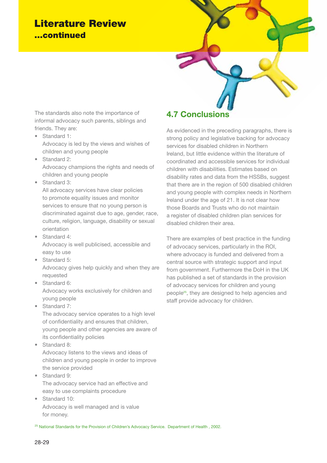## **Literature Review ...continued**

The standards also note the importance of informal advocacy such parents, siblings and friends. They are:

- Standard 1: Advocacy is led by the views and wishes of children and young people
- Standard 2: Advocacy champions the rights and needs of children and young people
- Standard 3:

 All advocacy services have clear policies to promote equality issues and monitor services to ensure that no young person is discriminated against due to age, gender, race, culture, religion, language, disability or sexual orientation

- Standard 4: Advocacy is well publicised, accessible and easy to use
- Standard 5: Advocacy gives help quickly and when they are requested
- Standard 6: Advocacy works exclusively for children and young people
- Standard 7:

 The advocacy service operates to a high level of confidentiality and ensures that children, young people and other agencies are aware of its confidentiality policies

• Standard 8:

 Advocacy listens to the views and ideas of children and young people in order to improve the service provided

- Standard 9: The advocacy service had an effective and easy to use complaints procedure
- Standard 10: Advocacy is well managed and is value for money.

## **4.7 Conclusions**

As evidenced in the preceding paragraphs, there is strong policy and legislative backing for advocacy services for disabled children in Northern Ireland, but little evidence within the literature of coordinated and accessible services for individual children with disabilities. Estimates based on disability rates and data from the HSSBs, suggest that there are in the region of 500 disabled children and young people with complex needs in Northern Ireland under the age of 21. It is not clear how those Boards and Trusts who do not maintain a register of disabled children plan services for disabled children their area.

There are examples of best practice in the funding of advocacy services, particularly in the ROI, where advocacy is funded and delivered from a central source with strategic support and input from government. Furthermore the DoH in the UK has published a set of standards in the provision of advocacy services for children and young people25, they are designed to help agencies and staff provide advocacy for children.

<sup>25</sup> National Standards for the Provision of Children's Advocacy Service. Department of Health, 2002.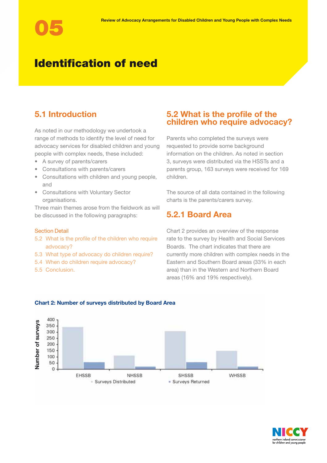## **Identification of need**

## **5.1 Introduction**

As noted in our methodology we undertook a range of methods to identify the level of need for advocacy services for disabled children and young people with complex needs, these included:

- A survey of parents/carers
- Consultations with parents/carers
- Consultations with children and young people, and
- Consultations with Voluntary Sector organisations.

Three main themes arose from the fieldwork as will be discussed in the following paragraphs:

#### Section Detail

- 5.2 What is the profile of the children who require advocacy?
- 5.3 What type of advocacy do children require?
- 5.4 When do children require advocacy?
- 5.5 Conclusion.

#### **5.2 What is the profile of the children who require advocacy?**

Parents who completed the surveys were requested to provide some background information on the children. As noted in section 3, surveys were distributed via the HSSTs and a parents group, 163 surveys were received for 169 children.

The source of all data contained in the following charts is the parents/carers survey.

## **5.2.1 Board Area**

Chart 2 provides an overview of the response rate to the survey by Health and Social Services Boards. The chart indicates that there are currently more children with complex needs in the Eastern and Southern Board areas (33% in each area) than in the Western and Northern Board areas (16% and 19% respectively).



#### **Chart 2: Number of surveys distributed by Board Area**

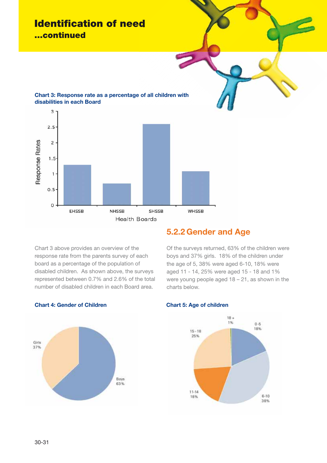

Chart 3 above provides an overview of the response rate from the parents survey of each board as a percentage of the population of disabled children. As shown above, the surveys represented between 0.7% and 2.6% of the total number of disabled children in each Board area.

## **5.2.2 Gender and Age**

Of the surveys returned, 63% of the children were boys and 37% girls. 18% of the children under the age of 5, 38% were aged 6-10, 18% were aged 11 - 14, 25% were aged 15 - 18 and 1% were young people aged 18 – 21, as shown in the charts below.



#### **Chart 4: Gender of Children Chart 5: Age of children**

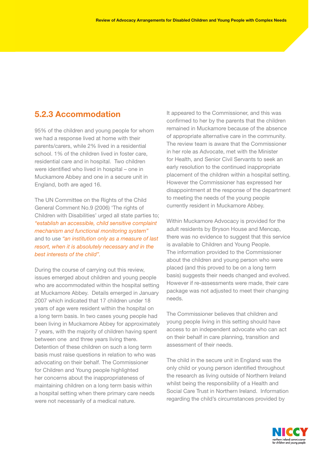## **5.2.3 Accommodation**

95% of the children and young people for whom we had a response lived at home with their parents/carers, while 2% lived in a residential school. 1% of the children lived in foster care, residential care and in hospital. Two children were identified who lived in hospital – one in Muckamore Abbey and one in a secure unit in England, both are aged 16.

The UN Committee on the Rights of the Child General Comment No.9 (2006) 'The rights of Children with Disabilities' urged all state parties to; *"establish an accessible, child sensitive complaint mechanism and functional monitoring system"*  and to use *"an institution only as a measure of last resort, when it is absolutely necessary and in the best interests of the child".*

During the course of carrying out this review, issues emerged about children and young people who are accommodated within the hospital setting at Muckamore Abbey. Details emerged in January 2007 which indicated that 17 children under 18 years of age were resident within the hospital on a long term basis. In two cases young people had been living in Muckamore Abbey for approximately 7 years, with the majority of children having spent between one and three years living there. Detention of these children on such a long term basis must raise questions in relation to who was advocating on their behalf. The Commissioner for Children and Young people highlighted her concerns about the inappropriateness of maintaining children on a long term basis within a hospital setting when there primary care needs were not necessarily of a medical nature.

It appeared to the Commissioner, and this was confirmed to her by the parents that the children remained in Muckamore because of the absence of appropriate alternative care in the community. The review team is aware that the Commissioner in her role as Advocate, met with the Minister for Health, and Senior Civil Servants to seek an early resolution to the continued inappropriate placement of the children within a hospital setting. However the Commissioner has expressed her disappointment at the response of the department to meeting the needs of the young people currently resident in Muckamore Abbey.

Within Muckamore Advocacy is provided for the adult residents by Bryson House and Mencap, there was no evidence to suggest that this service is available to Children and Young People. The information provided to the Commissioner about the children and young person who were placed (and this proved to be on a long term basis) suggests their needs changed and evolved. However if re-assessments were made, their care package was not adjusted to meet their changing needs.

The Commissioner believes that children and young people living in this setting should have access to an independent advocate who can act on their behalf in care planning, transition and assessment of their needs.

The child in the secure unit in England was the only child or young person identified throughout the research as living outside of Northern Ireland whilst being the responsibility of a Health and Social Care Trust in Northern Ireland. Information regarding the child's circumstances provided by

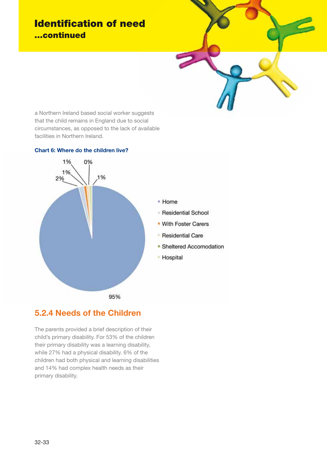## **Identification of need ...continued**



a Northern Ireland based social worker suggests that the child remains in England due to social circumstances, as opposed to the lack of available facilities in Northern Ireland.

#### **Chart 6: Where do the children live?**



## **5.2.4 Needs of the Children**

The parents provided a brief description of their child's primary disability. For 53% of the children their primary disability was a learning disability, while 27% had a physical disability. 6% of the children had both physical and learning disabilities and 14% had complex health needs as their primary disability.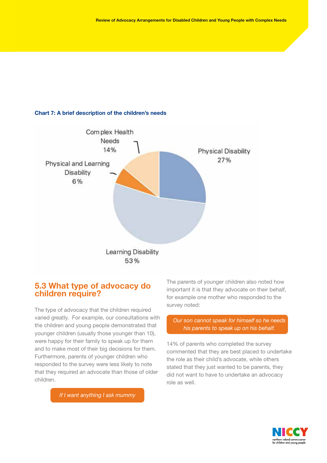#### **Chart 7: A brief description of the children's needs**



#### **5.3 What type of advocacy do children require?**

The type of advocacy that the children required varied greatly. For example, our consultations with the children and young people demonstrated that younger children (usually those younger than 10), were happy for their family to speak up for them and to make most of their big decisions for them. Furthermore, parents of younger children who responded to the survey were less likely to note that they required an advocate than those of older children.

*If I want anything I ask mummy*

The parents of younger children also noted how important it is that they advocate on their behalf, for example one mother who responded to the survey noted:

*Our son cannot speak for himself so he needs his parents to speak up on his behalf.*

14% of parents who completed the survey commented that they are best placed to undertake the role as their child's advocate, while others stated that they just wanted to be parents, they did not want to have to undertake an advocacy role as well.

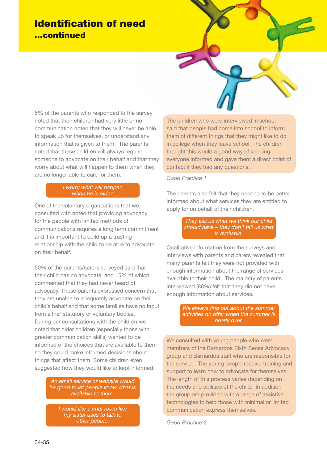## **Identification of need ...continued**

5% of the parents who responded to the survey noted that their children had very little or no communication noted that they will never be able to speak up for themselves, or understand any information that is given to them. The parents noted that these children will always require someone to advocate on their behalf and that they worry about what will happen to them when they are no longer able to care for them.

#### *I worry what will happen when he is older.*

One of the voluntary organisations that we consulted with noted that providing advocacy for the people with limited methods of communications requires a long term commitment and it is important to build up a trusting relationship with the child to be able to advocate on their behalf.

50% of the parents/carers surveyed said that their child has no advocate, and 15% of which commented that they had never heard of advocacy. These parents expressed concern that they are unable to adequately advocate on their child's behalf and that some families have no input from either statutory or voluntary bodies. During our consultations with the children we noted that older children (especially those with greater communication skills) wanted to be informed of the choices that are available to them so they could make informed decisions about things that affect them. Some children even suggested how they would like to kept informed.

> *An email service or website would be good to let people know what is available to them.*

> > *I would like a chat room like my sister uses to talk to other people.*

The children who were interviewed in school said that people had come into school to inform them of different things that they might like to do in college when they leave school. The children thought this would a good way of keeping everyone informed and gave them a direct point of contact if they had any questions.

*Good Practice 1*

The parents also felt that they needed to be better informed about what services they are entitled to apply for on behalf of their children.

> *They ask us what we think our child should have – they don't tell us what is available.*

Qualitative information from the surveys and interviews with parents and carers revealed that many parents felt they were not provided with enough information about the range of services available to their child. The majority of parents interviewed (88%) felt that they did not have enough information about services.

> **We always find out about the summer** *activities on offer when the summer is nearly over.*

We consulted with young people who were members of the Barnardos Sixth Sense Advocacy group and Barnardos staff who are responsible for the service. The young people receive training and support to learn how to advocate for themselves. The length of this process varies depending on the needs and abilities of the child. In addition the group are provided with a range of assistive technologies to help those with minimal or limited communication express themselves.

*Good Practice 2*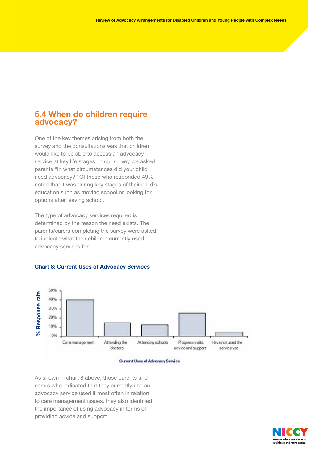#### **5.4 When do children require advocacy?**

One of the key themes arising from both the survey and the consultations was that children would like to be able to access an advocacy service at key life stages. In our survey we asked parents "In what circumstances did your child need advocacy?" Of those who responded 49% noted that it was during key stages of their child's education such as moving school or looking for options after leaving school.

The type of advocacy services required is determined by the reason the need exists. The parents/carers completing the survey were asked to indicate what their children currently used advocacy services for.



#### **Chart 8: Current Uses of Advocacy Services**

**Current Uses of Advocacy Service** 

As shown in chart 8 above, those parents and carers who indicated that they currently use an advocacy service used it most often in relation to care management issues, they also identified the importance of using advocacy in terms of providing advice and support.

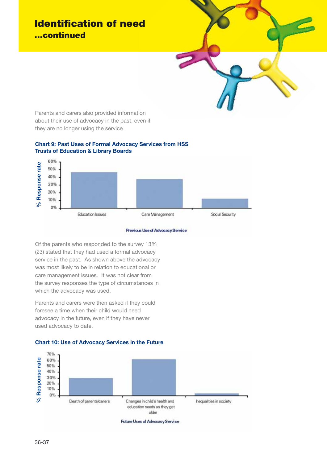## **Identification of need ...continued**

Parents and carers also provided information about their use of advocacy in the past, even if they are no longer using the service.



#### **Chart 9: Past Uses of Formal Advocacy Services from HSS Trusts of Education & Library Boards**

Previous Use of Advocacy Service

Of the parents who responded to the survey 13% (23) stated that they had used a formal advocacy service in the past. As shown above the advocacy was most likely to be in relation to educational or care management issues. It was not clear from the survey responses the type of circumstances in which the advocacy was used.

Parents and carers were then asked if they could foresee a time when their child would need advocacy in the future, even if they have never used advocacy to date.



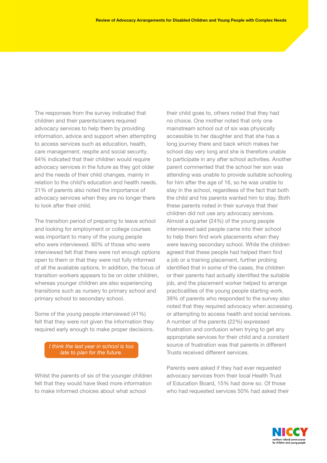The responses from the survey indicated that children and their parents/carers required advocacy services to help them by providing information, advice and support when attempting to access services such as education, health, care management, respite and social security. 64% indicated that their children would require advocacy services in the future as they got older and the needs of their child changes, mainly in relation to the child's education and health needs. 31% of parents also noted the importance of advocacy services when they are no longer there to look after their child.

The transition period of preparing to leave school and looking for employment or college courses was important to many of the young people who were interviewed. 60% of those who were interviewed felt that there were not enough options open to them or that they were not fully informed of all the available options. In addition, the focus of transition workers appears to be on older children, whereas younger children are also experiencing transitions such as nursery to primary school and primary school to secondary school.

Some of the young people interviewed (41%) felt that they were not given the information they required early enough to make proper decisions.

> *I think the last year in school is too late to plan for the future.*

Whilst the parents of six of the younger children felt that they would have liked more information to make informed choices about what school

their child goes to, others noted that they had no choice. One mother noted that only one mainstream school out of six was physically accessible to her daughter and that she has a long journey there and back which makes her school day very long and she is therefore unable to participate in any after school activities. Another parent commented that the school her son was attending was unable to provide suitable schooling for him after the age of 16, so he was unable to stay in the school, regardless of the fact that both the child and his parents wanted him to stay. Both these parents noted in their surveys that their children did not use any advocacy services. Almost a quarter (24%) of the young people interviewed said people came into their school to help them find work placements when they were leaving secondary school. While the children agreed that these people had helped them find a job or a training placement, further probing identified that in some of the cases, the children or their parents had actually identified the suitable job, and the placement worker helped to arrange practicalities of the young people starting work. 39% of parents who responded to the survey also noted that they required advocacy when accessing or attempting to access health and social services. A number of the parents (22%) expressed frustration and confusion when trying to get any appropriate services for their child and a constant source of frustration was that parents in different Trusts received different services.

Parents were asked if they had ever requested advocacy services from their local Health Trust of Education Board, 15% had done so. Of those who had requested services 50% had asked their

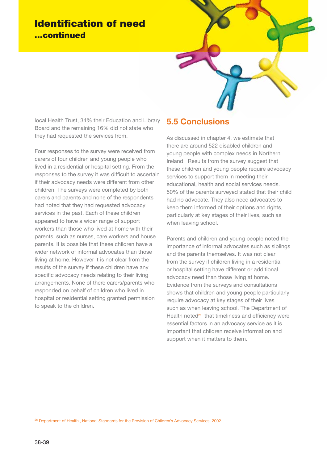## **Identification of need ...continued**

local Health Trust, 34% their Education and Library Board and the remaining 16% did not state who they had requested the services from.

Four responses to the survey were received from carers of four children and young people who lived in a residential or hospital setting. From the responses to the survey it was difficult to ascertain if their advocacy needs were different from other children. The surveys were completed by both carers and parents and none of the respondents had noted that they had requested advocacy services in the past. Each of these children appeared to have a wider range of support workers than those who lived at home with their parents, such as nurses, care workers and house parents. It is possible that these children have a wider network of informal advocates than those living at home. However it is not clear from the results of the survey if these children have any specific advocacy needs relating to their living arrangements. None of there carers/parents who responded on behalf of children who lived in hospital or residential setting granted permission to speak to the children.

## **5.5 Conclusions**

As discussed in chapter 4, we estimate that there are around 522 disabled children and young people with complex needs in Northern Ireland. Results from the survey suggest that these children and young people require advocacy services to support them in meeting their educational, health and social services needs. 50% of the parents surveyed stated that their child had no advocate. They also need advocates to keep them informed of their options and rights, particularly at key stages of their lives, such as when leaving school.

Parents and children and young people noted the importance of informal advocates such as siblings and the parents themselves. It was not clear from the survey if children living in a residential or hospital setting have different or additional advocacy need than those living at home. Evidence from the surveys and consultations shows that children and young people particularly require advocacy at key stages of their lives such as when leaving school. The Department of Health noted<sup>26</sup> that timeliness and efficiency were essential factors in an advocacy service as it is important that children receive information and support when it matters to them.

<sup>26</sup> Department of Health , National Standards for the Provision of Children's Advocacy Services, 2002.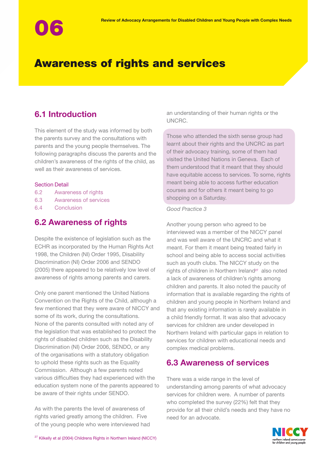## **Awareness of rights and services**

## **6.1 Introduction**

This element of the study was informed by both the parents survey and the consultations with parents and the young people themselves. The following paragraphs discuss the parents and the children's awareness of the rights of the child, as well as their awareness of services.

#### Section Detail

- 6.2 Awareness of rights
- 6.3 Awareness of services
- 6.4 Conclusion

#### **6.2 Awareness of rights**

Despite the existence of legislation such as the ECHR as incorporated by the Human Rights Act 1998, the Children (NI) Order 1995, Disability Discrimination (NI) Order 2006 and SENDO (2005) there appeared to be relatively low level of awareness of rights among parents and carers.

Only one parent mentioned the United Nations Convention on the Rights of the Child, although a few mentioned that they were aware of NICCY and some of its work, during the consultations. None of the parents consulted with noted any of the legislation that was established to protect the rights of disabled children such as the Disability Discrimination (NI) Order 2006, SENDO, or any of the organisations with a statutory obligation to uphold these rights such as the Equality Commission. Although a few parents noted various difficulties they had experienced with the education system none of the parents appeared to be aware of their rights under SENDO.

As with the parents the level of awareness of rights varied greatly among the children. Five of the young people who were interviewed had an understanding of their human rights or the UNCRC.

Those who attended the sixth sense group had learnt about their rights and the UNCRC as part of their advocacy training, some of them had visited the United Nations in Geneva. Each of them understood that it meant that they should have equitable access to services. To some, rights meant being able to access further education courses and for others it meant being to go shopping on a Saturday.

#### *Good Practice 3*

Another young person who agreed to be interviewed was a member of the NICCY panel and was well aware of the UNCRC and what it meant. For them it meant being treated fairly in school and being able to access social activities such as youth clubs. The NICCY study on the rights of children in Northern Ireland<sup>27</sup> also noted a lack of awareness of children's rights among children and parents. It also noted the paucity of information that is available regarding the rights of children and young people in Northern Ireland and that any existing information is rarely available in a child friendly format. It was also that advocacy services for children are under developed in Northern Ireland with particular gaps in relation to services for children with educational needs and complex medical problems.

#### **6.3 Awareness of services**

There was a wide range in the level of understanding among parents of what advocacy services for children were. A number of parents who completed the survey (22%) felt that they provide for all their child's needs and they have no need for an advocate.

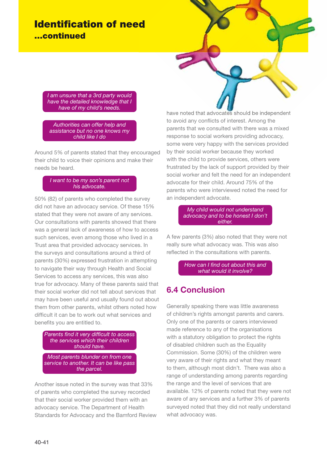## **Identification of need ...continued**

*I am unsure that a 3rd party would have the detailed knowledge that I have of my child's needs.*

*Authorities can offer help and assistance but no one knows my child like I do*

Around 5% of parents stated that they encouraged their child to voice their opinions and make their needs be heard.

#### *I want to be my son's parent not his advocate.*

50% (82) of parents who completed the survey did not have an advocacy service. Of these 15% stated that they were not aware of any services. Our consultations with parents showed that there was a general lack of awareness of how to access such services, even among those who lived in a Trust area that provided advocacy services. In the surveys and consultations around a third of parents (30%) expressed frustration in attempting to navigate their way through Health and Social Services to access any services, this was also true for advocacy. Many of these parents said that their social worker did not tell about services that may have been useful and usually found out about them from other parents, whilst others noted how difficult it can be to work out what services and benefits you are entitled to.

#### **Parents find it very difficult to access** *the services which their children should have.*

*Most parents blunder on from one service to another. It can be like pass the parcel.*

Another issue noted in the survey was that 33% of parents who completed the survey recorded that their social worker provided them with an advocacy service. The Department of Health Standards for Advocacy and the Bamford Review

have noted that advocates should be independent to avoid any conflicts of interest. Among the parents that we consulted with there was a mixed response to social workers providing advocacy, some were very happy with the services provided by their social worker because they worked with the child to provide services, others were frustrated by the lack of support provided by their social worker and felt the need for an independent advocate for their child. Around 75% of the parents who were interviewed noted the need for an independent advocate.

> *My child would not understand advocacy and to be honest I don't either.*

A few parents (3%) also noted that they were not really sure what advocacy was. This was also reflected in the consultations with parents.

> **How can I find out about this and** *what would it involve?*

## **6.4 Conclusion**

Generally speaking there was little awareness of children's rights amongst parents and carers. Only one of the parents or carers interviewed made reference to any of the organisations with a statutory obligation to protect the rights of disabled children such as the Equality Commission. Some (30%) of the children were very aware of their rights and what they meant to them, although most didn't. There was also a range of understanding among parents regarding the range and the level of services that are available. 12% of parents noted that they were not aware of any services and a further 3% of parents surveyed noted that they did not really understand what advocacy was.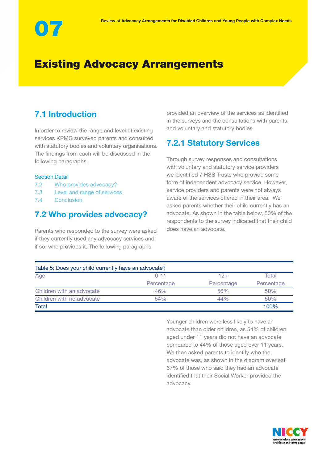## **Existing Advocacy Arrangements**

## **7.1 Introduction**

In order to review the range and level of existing services KPMG surveyed parents and consulted with statutory bodies and voluntary organisations. The findings from each will be discussed in the following paragraphs.

#### Section Detail

- 7.2 Who provides advocacy?
- 7.3 Level and range of services
- 7.4 Conclusion

## **7.2 Who provides advocacy?**

Parents who responded to the survey were asked if they currently used any advocacy services and if so, who provides it. The following paragraphs

provided an overview of the services as identified in the surveys and the consultations with parents, and voluntary and statutory bodies.

## **7.2.1 Statutory Services**

Through survey responses and consultations with voluntary and statutory service providers we identified 7 HSS Trusts who provide some form of independent advocacy service. However, service providers and parents were not always aware of the services offered in their area. We asked parents whether their child currently has an advocate. As shown in the table below, 50% of the respondents to the survey indicated that their child does have an advocate.

| Table 5: Does your child currently have an advocate? |            |            |            |  |
|------------------------------------------------------|------------|------------|------------|--|
| Age                                                  | $0 - 11$   | $12+$      | Total      |  |
|                                                      | Percentage | Percentage | Percentage |  |
| Children with an advocate                            | 46%        | 56%        | 50%        |  |
| Children with no advocate                            | 54%        | 44%        | 50%        |  |
| Total                                                |            |            | 100%       |  |

Younger children were less likely to have an advocate than older children, as 54% of children aged under 11 years did not have an advocate compared to 44% of those aged over 11 years. We then asked parents to identify who the advocate was, as shown in the diagram overleaf 67% of those who said they had an advocate identified that their Social Worker provided the advocacy.

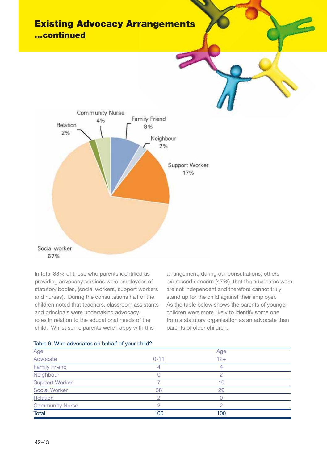

In total 88% of those who parents identified as providing advocacy services were employees of statutory bodies, (social workers, support workers and nurses). During the consultations half of the children noted that teachers, classroom assistants and principals were undertaking advocacy roles in relation to the educational needs of the child. Whilst some parents were happy with this

arrangement, during our consultations, others expressed concern (47%), that the advocates were are not independent and therefore cannot truly stand up for the child against their employer. As the table below shows the parents of younger children were more likely to identify some one from a statutory organisation as an advocate than parents of older children.

| Age                    |          | Age   |  |
|------------------------|----------|-------|--|
| Advocate               | $0 - 11$ | $12+$ |  |
| <b>Family Friend</b>   | 4        | 4     |  |
| Neighbour              |          | 0     |  |
| <b>Support Worker</b>  |          | 10    |  |
| Social Worker          | 38       | 29    |  |
| Relation               |          |       |  |
| <b>Community Nurse</b> |          |       |  |
| <b>Total</b>           | 100      | 100   |  |

#### Table 6: Who advocates on behalf of your child?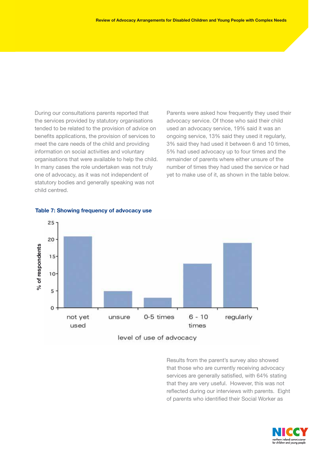During our consultations parents reported that the services provided by statutory organisations tended to be related to the provision of advice on benefits applications, the provision of services to meet the care needs of the child and providing information on social activities and voluntary organisations that were available to help the child. In many cases the role undertaken was not truly one of advocacy, as it was not independent of statutory bodies and generally speaking was not child centred.

Parents were asked how frequently they used their advocacy service. Of those who said their child used an advocacy service, 19% said it was an ongoing service, 13% said they used it regularly, 3% said they had used it between 6 and 10 times, 5% had used advocacy up to four times and the remainder of parents where either unsure of the number of times they had used the service or had yet to make use of it, as shown in the table below.



#### **Table 7: Showing frequency of advocacy use**

level of use of advocacy

Results from the parent's survey also showed that those who are currently receiving advocacy services are generally satisfied, with 64% stating that they are very useful. However, this was not reflected during our interviews with parents. Eight of parents who identified their Social Worker as

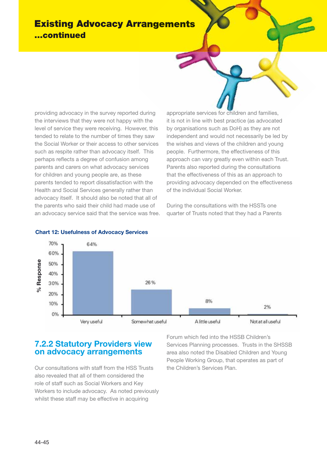## **Existing Advocacy Arrangements ...continued**

providing advocacy in the survey reported during the interviews that they were not happy with the level of service they were receiving. However, this tended to relate to the number of times they saw the Social Worker or their access to other services such as respite rather than advocacy itself. This perhaps reflects a degree of confusion among parents and carers on what advocacy services for children and young people are, as these parents tended to report dissatisfaction with the Health and Social Services generally rather than advocacy itself. It should also be noted that all of the parents who said their child had made use of an advocacy service said that the service was free. appropriate services for children and families, it is not in line with best practice (as advocated by organisations such as DoH) as they are not independent and would not necessarily be led by the wishes and views of the children and young people. Furthermore, the effectiveness of this approach can vary greatly even within each Trust. Parents also reported during the consultations that the effectiveness of this as an approach to providing advocacy depended on the effectiveness of the individual Social Worker.

During the consultations with the HSSTs one quarter of Trusts noted that they had a Parents



#### **Chart 12: Usefulness of Advocacy Services**

## **7.2.2 Statutory Providers view on advocacy arrangements**

Our consultations with staff from the HSS Trusts also revealed that all of them considered the role of staff such as Social Workers and Key Workers to include advocacy. As noted previously whilst these staff may be effective in acquiring

Forum which fed into the HSSB Children's Services Planning processes. Trusts in the SHSSB area also noted the Disabled Children and Young People Working Group, that operates as part of the Children's Services Plan.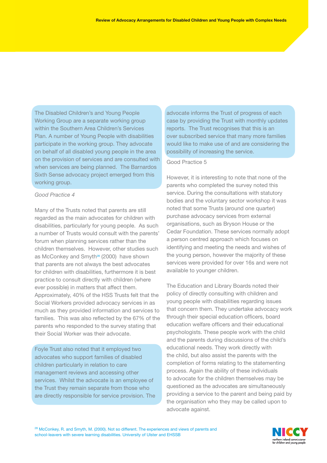The Disabled Children's and Young People Working Group are a separate working group within the Southern Area Children's Services Plan. A number of Young People with disabilities participate in the working group. They advocate on behalf of all disabled young people in the area on the provision of services and are consulted with when services are being planned. The Barnardos Sixth Sense advocacy project emerged from this working group.

#### *Good Practice 4*

Many of the Trusts noted that parents are still regarded as the main advocates for children with disabilities, particularly for young people. As such a number of Trusts would consult with the parents' forum when planning services rather than the children themselves. However, other studies such as McConkey and Smyth<sup>28</sup> (2000) have shown that parents are not always the best advocates for children with disabilities, furthermore it is best practice to consult directly with children (where ever possible) in matters that affect them. Approximately, 40% of the HSS Trusts felt that the Social Workers provided advocacy services in as much as they provided information and services to families. This was also reflected by the 67% of the parents who responded to the survey stating that their Social Worker was their advocate.

Foyle Trust also noted that it employed two advocates who support families of disabled children particularly in relation to care management reviews and accessing other services. Whilst the advocate is an employee of the Trust they remain separate from those who are directly responsible for service provision. The

advocate informs the Trust of progress of each case by providing the Trust with monthly updates reports. The Trust recognises that this is an over subscribed service that many more families would like to make use of and are considering the possibility of increasing the service.

#### Good Practice 5

However, it is interesting to note that none of the parents who completed the survey noted this service. During the consultations with statutory bodies and the voluntary sector workshop it was noted that some Trusts (around one quarter) purchase advocacy services from external organisations, such as Bryson House or the Cedar Foundation. These services normally adopt a person centred approach which focuses on identifying and meeting the needs and wishes of the young person, however the majority of these services were provided for over 16s and were not available to younger children.

The Education and Library Boards noted their policy of directly consulting with children and young people with disabilities regarding issues that concern them. They undertake advocacy work through their special education officers, board education welfare officers and their educational psychologists. These people work with the child and the parents during discussions of the child's educational needs. They work directly with the child, but also assist the parents with the completion of forms relating to the statementing process. Again the ability of these individuals to advocate for the children themselves may be questioned as the advocates are simultaneously providing a service to the parent and being paid by the organisation who they may be called upon to advocate against.

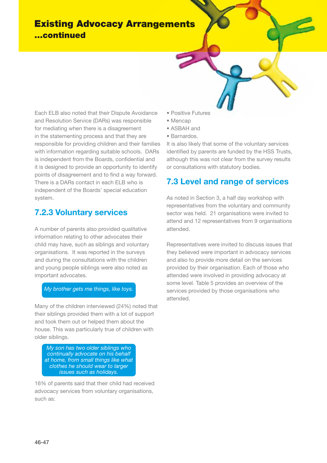## **Existing Advocacy Arrangements ...continued**

Each ELB also noted that their Dispute Avoidance and Resolution Service (DARs) was responsible for mediating when there is a disagreement in the statementing process and that they are responsible for providing children and their families with information regarding suitable schools. DARs is independent from the Boards, confidential and it is designed to provide an opportunity to identify points of disagreement and to find a way forward. There is a DARs contact in each ELB who is independent of the Boards' special education system.

## **7.2.3 Voluntary services**

A number of parents also provided qualitative information relating to other advocates their child may have, such as siblings and voluntary organisations. It was reported in the surveys and during the consultations with the children and young people siblings were also noted as important advocates.

#### *My brother gets me things, like toys.*

Many of the children interviewed (24%) noted that their siblings provided them with a lot of support and took them out or helped them about the house. This was particularly true of children with older siblings.

*My son has two older siblings who continually advocate on his behalf at home, from small things like what clothes he should wear to larger issues such as holidays.*

16% of parents said that their child had received advocacy services from voluntary organisations, such as:

- Positive Futures
- Mencap
- ASBAH and
- Barnardos.

It is also likely that some of the voluntary services identified by parents are funded by the HSS Trusts, although this was not clear from the survey results or consultations with statutory bodies.

## **7.3 Level and range of services**

As noted in Section 3, a half day workshop with representatives from the voluntary and community sector was held. 21 organisations were invited to attend and 12 representatives from 9 organisations attended.

Representatives were invited to discuss issues that they believed were important in advocacy services and also to provide more detail on the services provided by their organisation. Each of those who attended were involved in providing advocacy at some level. Table 5 provides an overview of the services provided by those organisations who attended.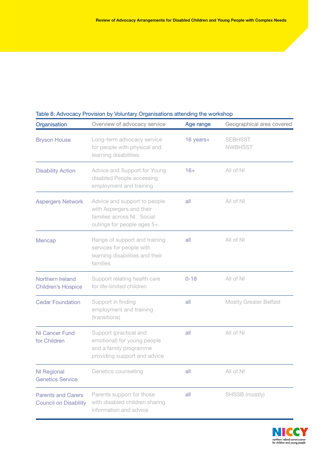| Organisation                                              | Overview of advocacy service                                                                                          | Age range | Geographical area covered        |
|-----------------------------------------------------------|-----------------------------------------------------------------------------------------------------------------------|-----------|----------------------------------|
| <b>Bryson House</b>                                       | Long-term advocacy service<br>for people with physical and<br>learning disabilities.                                  | 16 years+ | <b>SEBHSST</b><br><b>NWBHSST</b> |
| <b>Disability Action</b>                                  | Advice and Support for Young<br>disabled People accessing<br>employment and training                                  | $16+$     | All of NI                        |
| <b>Aspergers Network</b>                                  | Advice and support to people<br>with Aspergers and their<br>families across NI. Social<br>outings for people ages 5+. | all       | All of NI                        |
| Mencap                                                    | Range of support and training<br>services for people with<br>learning disabilities and their<br>families              | all       | All of NI                        |
| Northern Ireland<br><b>Children's Hospice</b>             | Support relating health care<br>for life-limited children                                                             | $0 - 18$  | All of NI                        |
| <b>Cedar Foundation</b>                                   | Support in finding<br>employment and training<br>(transitions)                                                        | all       | <b>Mostly Greater Belfast</b>    |
| NI Cancer Fund<br>for Children                            | Support (practical and<br>emotional) for young people<br>and a family programme<br>providing support and advice       | all       | All of NI                        |
| <b>NI Regional</b><br><b>Genetics Service</b>             | Genetics counselling                                                                                                  | all       | All of NI                        |
| <b>Parents and Carers</b><br><b>Council on Disability</b> | Parents support for those<br>with disabled children sharing<br>information and advice                                 | all       | SHSSB (mostly)                   |

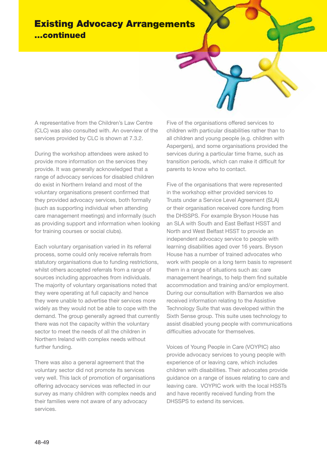## **Existing Advocacy Arrangements ...continued**

A representative from the Children's Law Centre (CLC) was also consulted with. An overview of the services provided by CLC is shown at 7.3.2.

During the workshop attendees were asked to provide more information on the services they provide. It was generally acknowledged that a range of advocacy services for disabled children do exist in Northern Ireland and most of the voluntary organisations present confirmed that they provided advocacy services, both formally (such as supporting individual when attending care management meetings) and informally (such as providing support and information when looking for training courses or social clubs).

Each voluntary organisation varied in its referral process, some could only receive referrals from statutory organisations due to funding restrictions, whilst others accepted referrals from a range of sources including approaches from individuals. The majority of voluntary organisations noted that they were operating at full capacity and hence they were unable to advertise their services more widely as they would not be able to cope with the demand. The group generally agreed that currently there was not the capacity within the voluntary sector to meet the needs of all the children in Northern Ireland with complex needs without further funding.

There was also a general agreement that the voluntary sector did not promote its services very well. This lack of promotion of organisations offering advocacy services was reflected in our survey as many children with complex needs and their families were not aware of any advocacy services.

Five of the organisations offered services to children with particular disabilities rather than to all children and young people (e.g. children with Aspergers), and some organisations provided the services during a particular time frame, such as transition periods, which can make it difficult for parents to know who to contact.

Five of the organisations that were represented in the workshop either provided services to Trusts under a Service Level Agreement (SLA) or their organisation received core funding from the DHSSPS. For example Bryson House has an SLA with South and East Belfast HSST and North and West Belfast HSST to provide an independent advocacy service to people with learning disabilities aged over 16 years. Bryson House has a number of trained advocates who work with people on a long term basis to represent them in a range of situations such as: care management hearings, to help them find suitable accommodation and training and/or employment. During our consultation with Barnardos we also received information relating to the Assistive Technology Suite that was developed within the Sixth Sense group. This suite uses technology to assist disabled young people with communications difficulties advocate for themselves.

Voices of Young People in Care (VOYPIC) also provide advocacy services to young people with experience of or leaving care, which includes children with disabilities. Their advocates provide guidance on a range of issues relating to care and leaving care. VOYPIC work with the local HSSTs and have recently received funding from the DHSSPS to extend its services.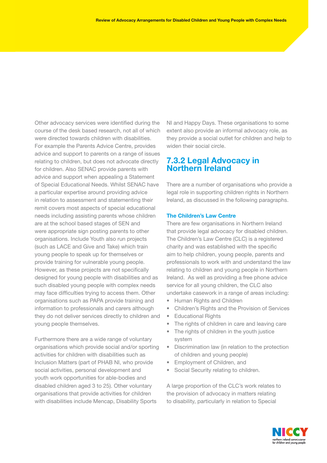Other advocacy services were identified during the course of the desk based research, not all of which were directed towards children with disabilities. For example the Parents Advice Centre, provides advice and support to parents on a range of issues relating to children, but does not advocate directly for children. Also SENAC provide parents with advice and support when appealing a Statement of Special Educational Needs. Whilst SENAC have a particular expertise around providing advice in relation to assessment and statementing their remit covers most aspects of special educational needs including assisting parents whose children are at the school based stages of SEN and were appropriate sign posting parents to other organisations. Include Youth also run projects (such as LACE and Give and Take) which train young people to speak up for themselves or provide training for vulnerable young people. However, as these projects are not specifically designed for young people with disabilities and as such disabled young people with complex needs may face difficulties trying to access them. Other organisations such as PAPA provide training and information to professionals and carers although they do not deliver services directly to children and young people themselves.

Furthermore there are a wide range of voluntary organisations which provide social and/or sporting activities for children with disabilities such as Inclusion Matters (part of PHAB NI, who provide social activities, personal development and youth work opportunities for able-bodies and disabled children aged 3 to 25). Other voluntary organisations that provide activities for children with disabilities include Mencap, Disability Sports

NI and Happy Days. These organisations to some extent also provide an informal advocacy role, as they provide a social outlet for children and help to widen their social circle.

#### **7.3.2 Legal Advocacy in Northern Ireland**

There are a number of organisations who provide a legal role in supporting children rights in Northern Ireland, as discussed in the following paragraphs.

#### **The Children's Law Centre**

There are few organisations in Northern Ireland that provide legal advocacy for disabled children. The Children's Law Centre (CLC) is a registered charity and was established with the specific aim to help children, young people, parents and professionals to work with and understand the law relating to children and young people in Northern Ireland. As well as providing a free phone advice service for all young children, the CLC also undertake casework in a range of areas including:

- Human Rights and Children
- Children's Rights and the Provision of Services
- Educational Rights
- The rights of children in care and leaving care
- The rights of children in the youth justice system
- Discrimination law (in relation to the protection of children and young people)
- Employment of Children, and
- Social Security relating to children.

A large proportion of the CLC's work relates to the provision of advocacy in matters relating to disability, particularly in relation to Special

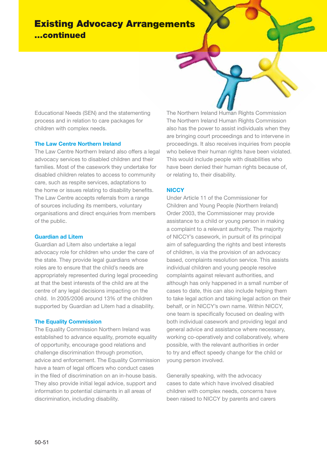## **Existing Advocacy Arrangements ...continued**

Educational Needs (SEN) and the statementing process and in relation to care packages for children with complex needs.

#### **The Law Centre Northern Ireland**

The Law Centre Northern Ireland also offers a legal advocacy services to disabled children and their families. Most of the casework they undertake for disabled children relates to access to community care, such as respite services, adaptations to the home or issues relating to disability benefits. The Law Centre accepts referrals from a range of sources including its members, voluntary organisations and direct enquiries from members of the public.

#### **Guardian ad Litem**

Guardian ad Litem also undertake a legal advocacy role for children who under the care of the state. They provide legal guardians whose roles are to ensure that the child's needs are appropriately represented during legal proceeding at that the best interests of the child are at the centre of any legal decisions impacting on the child. In 2005/2006 around 13% of the children supported by Guardian ad Litem had a disability.

#### **The Equality Commission**

The Equality Commission Northern Ireland was established to advance equality, promote equality of opportunity, encourage good relations and challenge discrimination through promotion, advice and enforcement. The Equality Commission have a team of legal officers who conduct cases in the filed of discrimination on an in-house basis. They also provide initial legal advice, support and information to potential claimants in all areas of discrimination, including disability.

The Northern Ireland Human Rights Commission The Northern Ireland Human Rights Commission also has the power to assist individuals when they are bringing court proceedings and to intervene in proceedings. It also receives inquiries from people who believe their human rights have been violated. This would include people with disabilities who have been denied their human rights because of, or relating to, their disability.

#### **NICCY**

Under Article 11 of the Commissioner for Children and Young People (Northern Ireland) Order 2003, the Commissioner may provide assistance to a child or young person in making a complaint to a relevant authority. The majority of NICCY's casework, in pursuit of its principal aim of safeguarding the rights and best interests of children, is via the provision of an advocacy based, complaints resolution service. This assists individual children and young people resolve complaints against relevant authorities, and although has only happened in a small number of cases to date, this can also include helping them to take legal action and taking legal action on their behalf, or in NICCY's own name. Within NICCY, one team is specifically focused on dealing with both individual casework and providing legal and general advice and assistance where necessary, working co-operatively and collaboratively, where possible, with the relevant authorities in order to try and effect speedy change for the child or young person involved.

Generally speaking, with the advocacy cases to date which have involved disabled children with complex needs, concerns have been raised to NICCY by parents and carers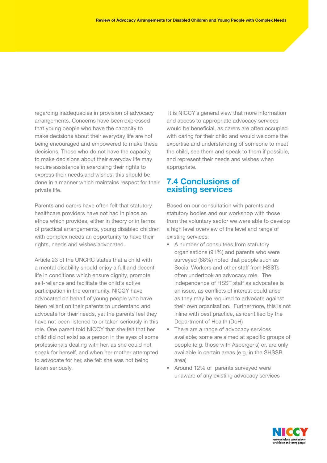regarding inadequacies in provision of advocacy arrangements. Concerns have been expressed that young people who have the capacity to make decisions about their everyday life are not being encouraged and empowered to make these decisions. Those who do not have the capacity to make decisions about their everyday life may require assistance in exercising their rights to express their needs and wishes; this should be done in a manner which maintains respect for their private life.

Parents and carers have often felt that statutory healthcare providers have not had in place an ethos which provides, either in theory or in terms of practical arrangements, young disabled children with complex needs an opportunity to have their rights, needs and wishes advocated.

Article 23 of the UNCRC states that a child with a mental disability should enjoy a full and decent life in conditions which ensure dignity, promote self-reliance and facilitate the child's active participation in the community. NICCY have advocated on behalf of young people who have been reliant on their parents to understand and advocate for their needs, yet the parents feel they have not been listened to or taken seriously in this role. One parent told NICCY that she felt that her child did not exist as a person in the eyes of some professionals dealing with her, as she could not speak for herself, and when her mother attempted to advocate for her, she felt she was not being taken seriously.

 It is NICCY's general view that more information and access to appropriate advocacy services would be beneficial, as carers are often occupied with caring for their child and would welcome the expertise and understanding of someone to meet the child, see them and speak to them if possible, and represent their needs and wishes when appropriate.

#### **7.4 Conclusions of existing services**

Based on our consultation with parents and statutory bodies and our workshop with those from the voluntary sector we were able to develop a high level overview of the level and range of existing services:

- A number of consultees from statutory organisations (91%) and parents who were surveyed (88%) noted that people such as Social Workers and other staff from HSSTs often undertook an advocacy role. The independence of HSST staff as advocates is an issue, as conflicts of interest could arise as they may be required to advocate against their own organisation. Furthermore, this is not inline with best practice, as identified by the Department of Health (DoH)
- There are a range of advocacy services available; some are aimed at specific groups of people (e.g. those with Asperger's) or, are only available in certain areas (e.g. in the SHSSB area)
- Around 12% of parents surveyed were unaware of any existing advocacy services

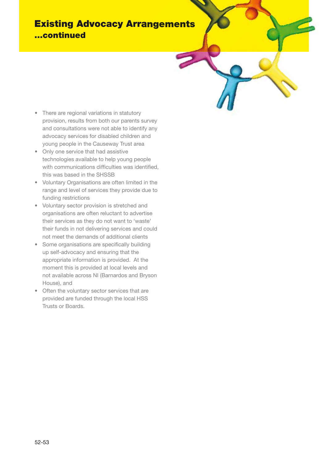## **Existing Advocacy Arrangements ...continued**

- There are regional variations in statutory provision, results from both our parents survey and consultations were not able to identify any advocacy services for disabled children and young people in the Causeway Trust area
- Only one service that had assistive technologies available to help young people with communications difficulties was identified, this was based in the SHSSB
- Voluntary Organisations are often limited in the range and level of services they provide due to funding restrictions
- Voluntary sector provision is stretched and organisations are often reluctant to advertise their services as they do not want to 'waste' their funds in not delivering services and could not meet the demands of additional clients
- Some organisations are specifically building up self-advocacy and ensuring that the appropriate information is provided. At the moment this is provided at local levels and not available across NI (Barnardos and Bryson House), and
- Often the voluntary sector services that are provided are funded through the local HSS Trusts or Boards.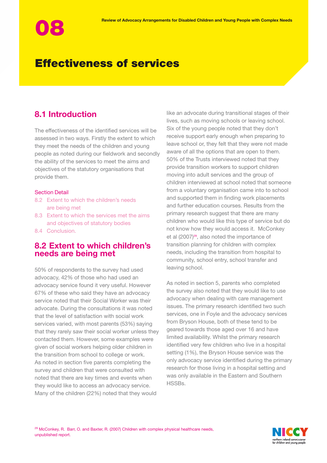## **Effectiveness of services**

## **8.1 Introduction**

The effectiveness of the identified services will be assessed in two ways. Firstly the extent to which they meet the needs of the children and young people as noted during our fieldwork and secondly the ability of the services to meet the aims and objectives of the statutory organisations that provide them.

#### Section Detail

- 8.2 Extent to which the children's needs are being met
- 8.3 Extent to which the services met the aims and objectives of statutory bodies
- 8.4 Conclusion.

#### **8.2 Extent to which children's needs are being met**

50% of respondents to the survey had used advocacy, 42% of those who had used an advocacy service found it very useful. However 67% of these who said they have an advocacy service noted that their Social Worker was their advocate. During the consultations it was noted that the level of satisfaction with social work services varied, with most parents (53%) saying that they rarely saw their social worker unless they contacted them. However, some examples were given of social workers helping older children in the transition from school to college or work. As noted in section five parents completing the survey and children that were consulted with noted that there are key times and events when they would like to access an advocacy service. Many of the children (22%) noted that they would

like an advocate during transitional stages of their lives, such as moving schools or leaving school. Six of the young people noted that they don't receive support early enough when preparing to leave school or, they felt that they were not made aware of all the options that are open to them. 50% of the Trusts interviewed noted that they provide transition workers to support children moving into adult services and the group of children interviewed at school noted that someone from a voluntary organisation came into to school and supported them in finding work placements and further education courses. Results from the primary research suggest that there are many children who would like this type of service but do not know how they would access it. McConkey et al (2007)29, also noted the importance of transition planning for children with complex needs, including the transition from hospital to community, school entry, school transfer and leaving school.

As noted in section 5, parents who completed the survey also noted that they would like to use advocacy when dealing with care management issues. The primary research identified two such services, one in Foyle and the advocacy services from Bryson House, both of these tend to be geared towards those aged over 16 and have limited availability. Whilst the primary research identified very few children who live in a hospital setting (1%), the Bryson House service was the only advocacy service identified during the primary research for those living in a hospital setting and was only available in the Eastern and Southern HSSBs.

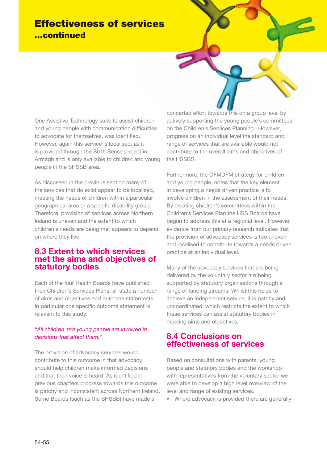## **Effectiveness of services ...continued**

One Assistive Technology suite to assist children and young people with communication difficulties to advocate for themselves, was identified. However, again this service is localised, as it is provided through the Sixth Sense project in Armagh and is only available to children and young people in the SHSSB area.

As discussed in the previous section many of the services that do exist appear to be localised, meeting the needs of children within a particular geographical area or a specific disability group. Therefore, provision of services across Northern Ireland is uneven and the extent to which children's needs are being met appears to depend on where they live.

#### **8.3 Extent to which services met the aims and objectives of statutory bodies**

Each of the four Health Boards have published their Children's Services Plans, all state a number of aims and objectives and outcome statements. In particular one specific outcome statement is relevant to this study:

#### *"All children and young people are involved in decisions that affect them."*

The provision of advocacy services would contribute to this outcome in that advocacy should help children make informed decisions and that their voice is heard. As identified in previous chapters progress towards this outcome is patchy and inconsistent across Northern Ireland. Some Boards (such as the SHSSB) have made a

concerted effort towards this on a group level by actively supporting the young people's committees on the Children's Services Planning. However, progress on an individual level the standard and range of services that are available would not contribute to the overall aims and objectives of the HSSBS.

Furthermore, the OFMDFM strategy for children and young people, notes that the key element in developing a needs driven practice is to involve children in the assessment of their needs. By creating children's committees within the Children's Services Plan the HSS Boards have begun to address this at a regional level. However, evidence from our primary research indicates that the provision of advocacy services is too uneven and localised to contribute towards a needs driven practice at an individual level.

Many of the advocacy services that are being delivered by the voluntary sector are being supported by statutory organisations through a range of funding streams. Whilst this helps to achieve an independent service, it is patchy and uncoordinated, which restricts the extent to which these services can assist statutory bodies in meeting aims and objectives.

#### **8.4 Conclusions on effectiveness of services**

Based on consultations with parents, young people and statutory bodies and the workshop with representatives from the voluntary sector we were able to develop a high level overview of the level and range of existing services.

• Where advocacy is provided there are generally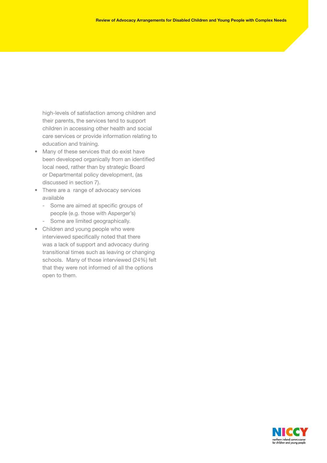high-levels of satisfaction among children and their parents, the services tend to support children in accessing other health and social care services or provide information relating to education and training.

- Many of these services that do exist have been developed organically from an identified local need, rather than by strategic Board or Departmental policy development, (as discussed in section 7).
- There are a range of advocacy services available
	- Some are aimed at specific groups of people (e.g. those with Asperger's)
	- Some are limited geographically.
- Children and young people who were interviewed specifically noted that there was a lack of support and advocacy during transitional times such as leaving or changing schools. Many of those interviewed (24%) felt that they were not informed of all the options open to them.

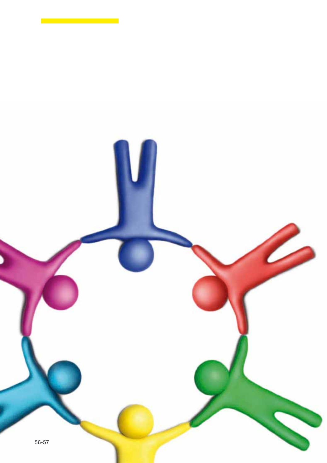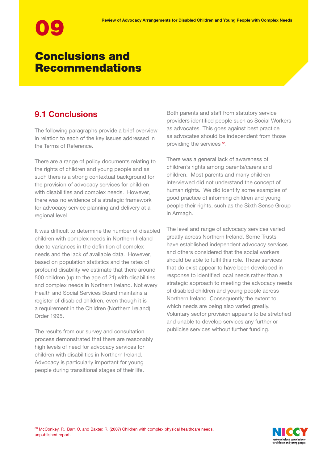## **Conclusions and Recommendations**

## **9.1 Conclusions**

The following paragraphs provide a brief overview in relation to each of the key issues addressed in the Terms of Reference.

There are a range of policy documents relating to the rights of children and young people and as such there is a strong contextual background for the provision of advocacy services for children with disabilities and complex needs. However, there was no evidence of a strategic framework for advocacy service planning and delivery at a regional level.

It was difficult to determine the number of disabled children with complex needs in Northern Ireland due to variances in the definition of complex needs and the lack of available data. However, based on population statistics and the rates of profound disability we estimate that there around 500 children (up to the age of 21) with disabilities and complex needs in Northern Ireland. Not every Health and Social Services Board maintains a register of disabled children, even though it is a requirement in the Children (Northern Ireland) Order 1995.

The results from our survey and consultation process demonstrated that there are reasonably high levels of need for advocacy services for children with disabilities in Northern Ireland. Advocacy is particularly important for young people during transitional stages of their life.

Both parents and staff from statutory service providers identified people such as Social Workers as advocates. This goes against best practice as advocates should be independent from those providing the services  $30$ .

There was a general lack of awareness of children's rights among parents/carers and children. Most parents and many children interviewed did not understand the concept of human rights. We did identify some examples of good practice of informing children and young people their rights, such as the Sixth Sense Group in Armagh.

The level and range of advocacy services varied greatly across Northern Ireland. Some Trusts have established independent advocacy services and others considered that the social workers should be able to fulfil this role. Those services that do exist appear to have been developed in response to identified local needs rather than a strategic approach to meeting the advocacy needs of disabled children and young people across Northern Ireland. Consequently the extent to which needs are being also varied greatly. Voluntary sector provision appears to be stretched and unable to develop services any further or publicise services without further funding.

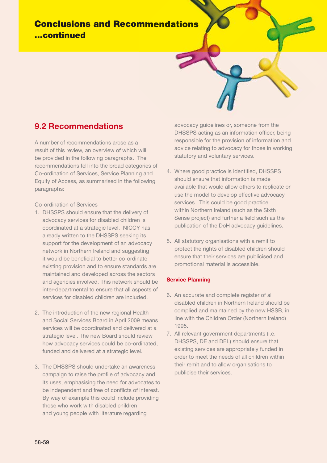## **Conclusions and Recommendations ...continued**

## **9.2 Recommendations**

A number of recommendations arose as a result of this review, an overview of which will be provided in the following paragraphs. The recommendations fell into the broad categories of Co-ordination of Services, Service Planning and Equity of Access, as summarised in the following paragraphs:

#### Co-ordination of Services

- 1. DHSSPS should ensure that the delivery of advocacy services for disabled children is coordinated at a strategic level. NICCY has already written to the DHSSPS seeking its support for the development of an advocacy network in Northern Ireland and suggesting it would be beneficial to better co-ordinate existing provision and to ensure standards are maintained and developed across the sectors and agencies involved. This network should be inter-departmental to ensure that all aspects of services for disabled children are included.
- 2. The introduction of the new regional Health and Social Services Board in April 2009 means services will be coordinated and delivered at a strategic level. The new Board should review how advocacy services could be co-ordinated, funded and delivered at a strategic level.
- 3. The DHSSPS should undertake an awareness campaign to raise the profile of advocacy and its uses, emphasising the need for advocates to be independent and free of conflicts of interest. By way of example this could include providing those who work with disabled children and young people with literature regarding

advocacy guidelines or, someone from the DHSSPS acting as an information officer, being responsible for the provision of information and advice relating to advocacy for those in working statutory and voluntary services.

- 4. Where good practice is identified, DHSSPS should ensure that information is made available that would allow others to replicate or use the model to develop effective advocacy services. This could be good practice within Northern Ireland (such as the Sixth Sense project) and further a field such as the publication of the DoH advocacy guidelines.
- 5. All statutory organisations with a remit to protect the rights of disabled children should ensure that their services are publicised and promotional material is accessible.

#### **Service Planning**

- 6. An accurate and complete register of all disabled children in Northern Ireland should be complied and maintained by the new HSSB, in line with the Children Order (Northern Ireland) 1995.
- 7. All relevant government departments (i.e. DHSSPS, DE and DEL) should ensure that existing services are appropriately funded in order to meet the needs of all children within their remit and to allow organisations to publicise their services.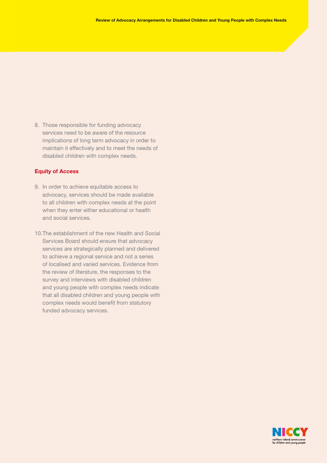8. Those responsible for funding advocacy services need to be aware of the resource implications of long term advocacy in order to maintain it effectively and to meet the needs of disabled children with complex needs.

#### **Equity of Access**

- 9. In order to achieve equitable access to advocacy, services should be made available to all children with complex needs at the point when they enter either educational or health and social services.
- 10. The establishment of the new Health and Social Services Board should ensure that advocacy services are strategically planned and delivered to achieve a regional service and not a series of localised and varied services. Evidence from the review of literature, the responses to the survey and interviews with disabled children and young people with complex needs indicate that all disabled children and young people with complex needs would benefit from statutory funded advocacy services.

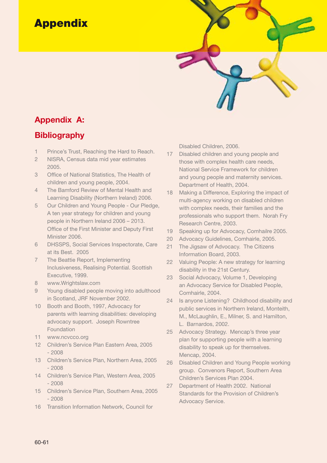## **Appendix**

## **Appendix A:**

## **Bibliography**

- 1 Prince's Trust, Reaching the Hard to Reach.
- 2 NISRA, Census data mid year estimates 2005.
- 3 Office of National Statistics, The Health of children and young people, 2004.
- 4 The Bamford Review of Mental Health and Learning Disability (Northern Ireland) 2006.
- 5 Our Children and Young People Our Pledge, A ten year strategy for children and young people in Northern Ireland 2006 – 2013. Office of the First Minister and Deputy First Minister 2006.
- 6 DHSSPS, Social Services Inspectorate, Care at its Best. 2005
- 7 The Beattie Report, Implementing Inclusiveness, Realising Potential. Scottish Executive, 1999.
- 8 www.Wrightslaw.com
- 9 Young disabled people moving into adulthood in Scotland, JRF November 2002.
- 10 Booth and Booth, 1997, Advocacy for parents with learning disabilities: developing advocacy support. Joseph Rowntree Foundation
- 11 www.ncvcco.org
- 12 Children's Service Plan Eastern Area, 2005 - 2008
- 13 Children's Service Plan, Northern Area, 2005 - 2008
- 14 Children's Service Plan, Western Area, 2005 - 2008
- 15 Children's Service Plan, Southern Area, 2005 - 2008
- 16 Transition Information Network, Council for

Disabled Children, 2006.

- 17 Disabled children and young people and those with complex health care needs, National Service Framework for children and young people and maternity services. Department of Health, 2004.
- 18 Making a Difference, Exploring the impact of multi-agency working on disabled children with complex needs, their families and the professionals who support them. Norah Fry Research Centre, 2003.
- 19 Speaking up for Advocacy, Comhailre 2005.
- 20 Advocacy Guidelines, Comhairle, 2005.
- 21 The Jigsaw of Advocacy. The Citizens Information Board, 2003.
- 22 Valuing People: A new strategy for learning disability in the 21st Century.
- 23 Social Advocacy, Volume 1, Developing an Advocacy Service for Disabled People, Comhairle, 2004.
- 24 Is anyone Listening? Childhood disability and public services in Northern Ireland, Monteith, M., McLaughlin, E., Milner, S. and Hamilton, L. Barnardos, 2002.
- 25 Advocacy Strategy. Mencap's three year plan for supporting people with a learning disability to speak up for themselves. Mencap, 2004.
- 26 Disabled Children and Young People working group. Convenors Report, Southern Area Children's Services Plan 2004.
- 27 Department of Health 2002. National Standards for the Provision of Children's Advocacy Service.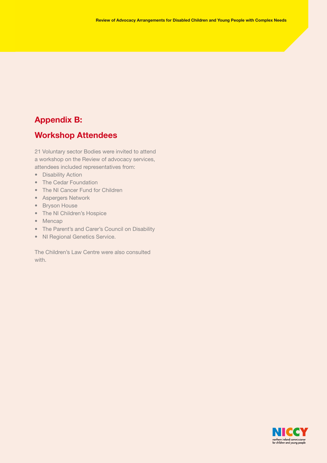## **Appendix B:**

## **Workshop Attendees**

21 Voluntary sector Bodies were invited to attend a workshop on the Review of advocacy services, attendees included representatives from:

- Disability Action
- The Cedar Foundation
- The NI Cancer Fund for Children
- Aspergers Network
- Bryson House
- The NI Children's Hospice
- Mencap
- The Parent's and Carer's Council on Disability
- NI Regional Genetics Service.

The Children's Law Centre were also consulted with.

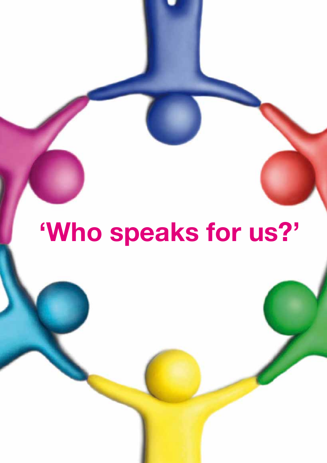# **'Who speaks for us?'**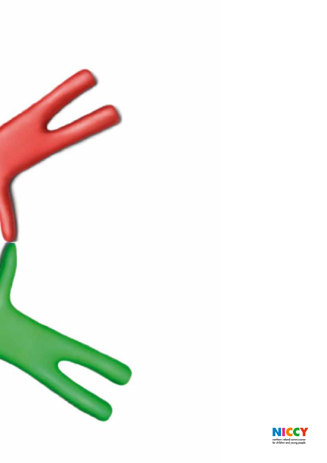